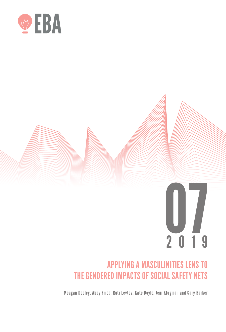

# 2019 07

# APPLYING A MASCULINITIES LENS TO THE GENDERED IMPACTS OF SOCIAL SAFETY NETS

Meagan Dooley, Abby Fried, Ruti Levtov, Kate Doyle, Jeni Klugman and Gary Barker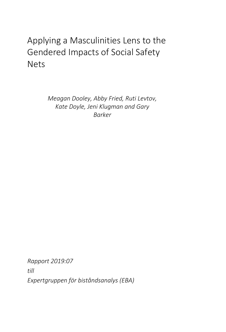# Applying a Masculinities Lens to the Gendered Impacts of Social Safety **Nets**

*Meagan Dooley, Abby Fried, Ruti Levtov, Kate Doyle, Jeni Klugman and Gary Barker*

*Rapport 2019:07 till Expertgruppen för biståndsanalys (EBA)*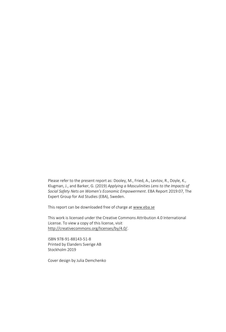Please refer to the present report as: Dooley, M., Fried, A., Levtov, R., Doyle, K., Klugman, J., and Barker, G. (2019) *Applying a Masculinities Lens to the Impacts of Social Safety Nets on Women's Economic Empowerment*. EBA Report 2019:07, The Expert Group for Aid Studies (EBA), Sweden.

This report can be downloaded free of charge a[t www.eba.se](http://www.eba.se/)

This work is licensed under the Creative Commons Attribution 4.0 International License. To view a copy of this license, visit [http://creativecommons.org/licenses/by/4.0/.](http://creativecommons.org/licenses/by/4.0/)

ISBN 978-91-88143-51-8 Printed by Elanders Sverige AB Stockholm 2019

Cover design by Julia Demchenko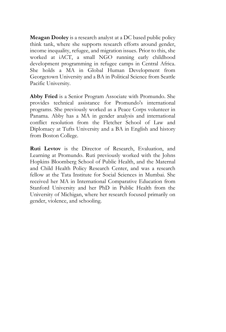**Meagan Dooley** is a research analyst at a DC based public policy think tank, where she supports research efforts around gender, income inequality, refugee, and migration issues. Prior to this, she worked at iACT, a small NGO running early childhood development programming in refugee camps in Central Africa. She holds a MA in Global Human Development from Georgetown University and a BA in Political Science from Seattle Pacific University.

**Abby Fried** is a Senior Program Associate with Promundo. She provides technical assistance for Promundo's international programs. She previously worked as a Peace Corps volunteer in Panama. Abby has a MA in gender analysis and international conflict resolution from the Fletcher School of Law and Diplomacy at Tufts University and a BA in English and history from Boston College.

**Ruti Levtov** is the Director of Research, Evaluation, and Learning at Promundo. Ruti previously worked with the Johns Hopkins Bloomberg School of Public Health, and the Maternal and Child Health Policy Research Center, and was a research fellow at the Tata Institute for Social Sciences in Mumbai. She received her MA in International Comparative Education from Stanford University and her PhD in Public Health from the University of Michigan, where her research focused primarily on gender, violence, and schooling.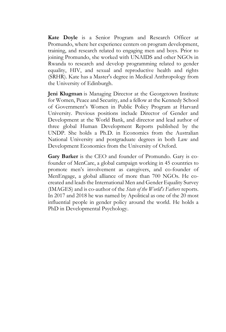**Kate Doyle** is a Senior Program and Research Officer at Promundo, where her experience centers on program development, training, and research related to engaging men and boys. Prior to joining Promundo, she worked with UNAIDS and other NGOs in Rwanda to research and develop programming related to gender equality, HIV, and sexual and reproductive health and rights (SRHR). Kate has a Master's degree in Medical Anthropology from the University of Edinburgh.

**Jeni Klugman** is Managing Director at the Georgetown Institute for Women, Peace and Security, and a fellow at the Kennedy School of Government's Women in Public Policy Program at Harvard University. Previous positions include Director of Gender and Development at the World Bank, and director and lead author of three global Human Development Reports published by the UNDP. She holds a Ph.D. in Economics from the Australian National University and postgraduate degrees in both Law and Development Economics from the University of Oxford.

**Gary Barker** is the CEO and founder of Promundo. Gary is cofounder of MenCare, a global campaign working in 45 countries to promote men's involvement as caregivers, and co-founder of MenEngage, a global alliance of more than 700 NGOs. He cocreated and leads the International Men and Gender Equality Survey (IMAGES) and is co-author of the *State of the World's Fathers* reports. In 2017 and 2018 he was named by Apolitical as one of the 20 most influential people in gender policy around the world. He holds a PhD in Developmental Psychology.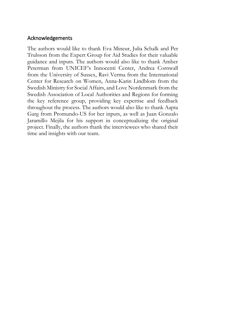#### Acknowledgements

The authors would like to thank Eva Mineur, Julia Schalk and Per Trulsson from the Expert Group for Aid Studies for their valuable guidance and inputs. The authors would also like to thank Amber Peterman from UNICEF's Innocenti Center, Andrea Cornwall from the University of Sussex, Ravi Verma from the International Center for Research on Women, Anna-Karin Lindblom from the Swedish Ministry for Social Affairs, and Love Nordenmark from the Swedish Association of Local Authorities and Regions for forming the key reference group, providing key expertise and feedback throughout the process. The authors would also like to thank Aapta Garg from Promundo-US for her inputs, as well as Juan Gonzalo Jaramillo Mejila for his support in conceptualizing the original project. Finally, the authors thank the interviewees who shared their time and insights with our team.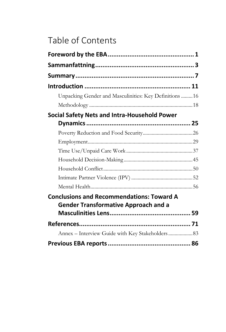# Table of Contents

| Unpacking Gender and Masculinities: Key Definitions  16                                         |  |
|-------------------------------------------------------------------------------------------------|--|
|                                                                                                 |  |
| Social Safety Nets and Intra-Household Power                                                    |  |
|                                                                                                 |  |
|                                                                                                 |  |
|                                                                                                 |  |
|                                                                                                 |  |
|                                                                                                 |  |
|                                                                                                 |  |
|                                                                                                 |  |
| <b>Conclusions and Recommendations: Toward A</b><br><b>Gender Transformative Approach and a</b> |  |
|                                                                                                 |  |
|                                                                                                 |  |
| Annex - Interview Guide with Key Stakeholders 83                                                |  |
|                                                                                                 |  |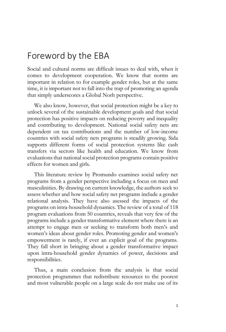## <span id="page-8-0"></span>Foreword by the EBA

Social and cultural norms are difficult issues to deal with, when it comes to development cooperation. We know that norms are important in relation to for example gender roles, but at the same time, it is important not to fall into the trap of promoting an agenda that simply underscores a Global Norh perspective.

We also know, however, that social protection might be a key to unlock several of the sustainable development goals and that social protection has positive impacts on reducing poverty and inequality and contributing to development. National social safety nets are dependent on tax contributions and the number of low-income countries with social safety nets programs is steadily growing. Sida supports different forms of social protection systems like cash transfers via sectors like health and education. We know from evaluations that national social protection programs contain positive effects for women and girls.

This literature review by Promundo examines social safety net programs from a gender perspective including a focus on men and masculinities. By drawing on current knowledge, the authors seek to assess whether and how social safety net programs include a gender relational analysis. They have also asessed the impacts of the programs on intra-household dynamics. The review of a total of 118 program evaluations from 50 countries, reveals that very few of the programs include a gender transformative element where there is an attempt to engage men or seeking to transform both men's and women's ideas about gender roles. Promoting gender and women's empowerment is rarely, if ever an explicit goal of the programs. They fall short in bringing about a gender transformative impact upon intra-household gender dynamics of power, decisions and responsibilities.

Thus, a main conclusion from the analysis is that social protection programmes that redistribute resources to the poorest and most vulnerable people on a large scale do not make use of its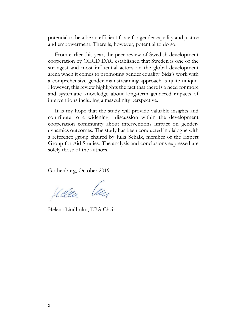potential to be a be an efficient force for gender equality and justice and empowerment. There is, however, potential to do so.

From earlier this year, the peer review of Swedish development cooperation by OECD DAC established that Sweden is one of the strongest and most influential actors on the global development arena when it comes to promoting gender equality. Sida's work with a comprehensive gender mainstreaming approach is quite unique. However, this review highlights the fact that there is a need for more and systematic knowledge about long-term gendered impacts of interventions including a masculinity perspective.

It is my hope that the study will provide valuable insights and contribute to a widening discussion within the development cooperation community about interventions impact on genderdynamics outcomes. The study has been conducted in dialogue with a reference group chaired by Julia Schalk, member of the Expert Group for Aid Studies. The analysis and conclusions expressed are solely those of the authors.

Gothenburg, October 2019

Malen len

Helena Lindholm, EBA Chair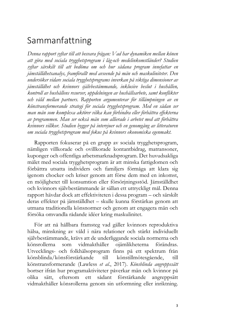## <span id="page-10-0"></span>Sammanfattning

*Denna rapport syftar till att besvara frågan: Vad har dynamiken mellan könen att göra med sociala trygghetsprogram i låg-och medelinkomstländer? Studien syftar särskilt till att bedöma om och hur sådana program innefattar en jämställdhetsanalys, framförallt med avseende på män och maskuliniteter. Den undersöker vidare sociala trygghetsprograms inverkan på viktiga dimensioner av jämställdhet och kvinnors självbestämmande, inklusive beslut i hushållen, kontroll av hushållens resurser, uppdelningen av hushållsarbete, samt konflikter och våld mellan partners. Rapporten argumenterar för tillämpningen av en könstransformerande strategi för sociala trygghetsprogram. Med en sådan ser man män som komplexa aktörer vilka kan förhindra eller förbättra effekterna av programmen. Man ser också män som allierade i arbetet med att förbättra kvinnors villkor. Studien bygger på intervjuer och en genomgång av litteraturen om sociala trygghetsprogram med fokus på kvinnors ekonomiska egenmakt.*

Rapporten fokuserar på en grupp av sociala trygghetsprogram, nämligen villkorade och ovillkorade kontantbidrag, matransoner, kuponger och offentliga arbetsmarknadsprogram. Det huvudsakliga målet med sociala trygghetsprogram är att minska fattigdomen och förbättra utsatta individers och familjers förmåga att klara sig igenom chocker och kriser genom att förse dem med en inkomst, en möjlighetet till konsumtion eller försörjningsstöd. Jämställdhet och kvinnors självbestämmande är sällan ett uttryckligt mål. Denna rapport hävdar dock att effektiviteten i dessa program – och särskilt deras effekter på jämställdhet – skulle kunna förstärkas genom att utmana traditionella könsnormer och genom att engagera män och försöka omvandla rådande idéer kring maskulinitet.

För att nå hållbara framsteg vad gäller kvinnors reproduktiva hälsa, minskning av våld i nära relationer och stärkt individuellt självbestämmande, krävs att de underliggande sociala normerna och könsrollerna som vidmakthåller ojämlikheterna förändras. Utvecklings- och folkhälsoprogram finns på ett spektrum från könsblinda/könsförstärkande till könstillmötesgående, till könstransformerande (Lawless *et al*., 2017). *Könsblinda angreppssätt* bortser ifrån hur programaktiviteter påverkar män och kvinnor på olika sätt, eftersom ett sådant förstärkande angreppsätt vidmakthåller könsrollerna genom sin utformning eller inriktning.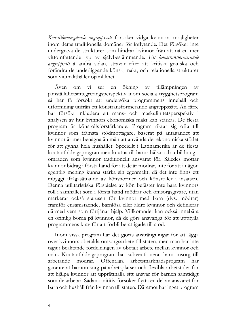*Könstillmötesgående angreppssätt* försöker vidga kvinnors möjligheter inom deras traditionella domäner för inflytande. Det försöker inte undergräva de strukturer som hindrar kvinnor från att nå en mer vittomfattande typ av självbestämmande. *Ett könstransformerande angreppsätt* å andra sidan, strävar efter att kritiskt granska och förändra de underliggande köns-, makt, och relationella strukturer som vidmakthåller ojämlikhet.

Även om vi ser en ökning av tillämpningen av jämställdhetsintegreringsperspektiv inom sociala trygghetsprogram så har få försökt att undersöka programmens innehåll och utformning utifrån ett könstransformerande angreppssätt. Än färre har försökt inkludera ett mans- och maskulinitetsperspektiv i analysen av hur kvinnors ekonomiska makt kan stärkas. De flesta program är könsrollsförstärkande. Program riktar sig ofta till kvinnor som främsta stödmottagare, baserat på antagandet att kvinnor är mer benägna än män att använda det ekonomiska stödet för att gynna hela hushållet. Speciellt i Latinamerika är de flesta kontantbidragsprogrammen knutna till barns hälsa och utbildning områden som kvinnor traditionellt ansvarat för. Således mottar kvinnor bidrag i första hand för att de är mödrar, inte för att i någon egentlig mening kunna stärka sin egenmakt, då det inte finns ett inbyggt ifrågasättande av könsnormer och könsroller i insatsen. Denna utilitaristiska förståelse av kön befäster inte bara kvinnors roll i samhället som i första hand mödrar och omsorgsgivare, utan markerar också statusen för kvinnor med barn (dvs. mödrar) framför ensamstående, barnlösa eller äldre kvinnor och definierar därmed vem som förtjänar hjälp. Villkorandet kan också innebära en orimlig börda på kvinnor, då de görs ansvariga för att uppfylla programmens krav för att förbli berättigade till stöd.

Inom vissa program har det gjorts ansträngningar för att lägga över kvinnors obetalda omsorgsarbete till staten, men man har inte tagit i beaktande fördelningen av obetalt arbete mellan kvinnor och män. Kontantbidragsprogram har subventionerat barnomsorg till arbetande mödrar. Offentliga arbetsmarknadsprogram har garanterat barnomsorg på arbetsplatser och flexibla arbetstider för att hjälpa kvinnor att upprätthålla sitt ansvar för barnen samtidigt som de arbetar. Sådana inititiv försöker flytta en del av ansvaret för barn och hushåll från kvinnan till staten. Däremot har inget program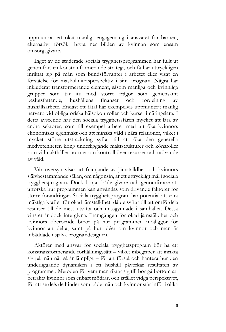uppmuntrat ett ökat manligt engagemang i ansvaret för barnen, alternativt försökt bryta ner bilden av kvinnan som ensam omsorgsgivare.

Inget av de studerade sociala trygghetsprogrammen har fullt ut genomfört en könstranformerande strategi, och få har uttryckligen inriktat sig på män som bundsförvanter i arbetet eller visat en förståelse för maskulinitetsperspektiv i sina program. Några har inkluderat transformerande element, såsom manliga och kvinnliga grupper som tar itu med större frågor som gemensamt beslutsfattande, hushållens finanser och fördelning av hushållsarbete. Endast ett fåtal har exempelvis uppmuntrat manlig närvaro vid obligatoriska hälsokontroller och kurser i näringslära. I detta avseende har den sociala trygghetssfären mycket att lära av andra sektorer, som till exempel arbetet med att öka kvinnors ekonomiska egenmakt och att minska våld i nära relationer, vilket i mycket större utsträckning syftar till att öka den generella medvetenheten kring underliggande maktstrukturer och könsroller som vidmakthåller normer om kontroll över resurser och utövande av våld.

Vår översyn visar att främjande av jämställdhet och kvinnors självbestämmande sällan, om någonsin, är ett uttryckligt mål i sociala trygghetsprogram. Dock börjar både givare och genomförare att utforska hur programmen kan användas som drivande faktorer för större förändringar. Sociala trygghetsprogram har potential att vara mäktiga krafter för ökad jämställdhet, då de syftar till att omfördela resurser till de mest utsatta och missgynnade i samhället. Dessa vinster är dock inte givna. Framgången för ökad jämställdhet och kvinnors oberoende beror på hur programmen möjliggör för kvinnor att delta, samt på hur idéer om kvinnor och män är inbäddade i själva programdesignen.

Aktörer med ansvar för sociala trygghetsprogram bör ha ett könstransformerande förhållningssätt – vilket inbegriper att inrikta sig på män när så är lämpligt – för att förstå och hantera hur den underliggande dynamiken i ett hushåll påverkar resultaten av programmet. Metoden för vem man riktar sig till bör gå bortom att betrakta kvinnor som enbart mödrar, och istället vidga perspektivet, för att se dels de hinder som både män och kvinnor står inför i olika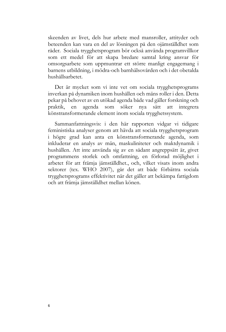skeenden av livet, dels hur arbete med mansroller, attityder och beteenden kan vara en del av lösningen på den ojämställdhet som råder. Sociala trygghetsprogram bör också använda programvillkor som ett medel för att skapa bredare samtal kring ansvar för omsorgsarbete som uppmuntrar ett större manligt engagemang i barnens utbildning, i mödra-och barnhälsovården och i det obetalda hushållsarbetet.

Det är mycket som vi inte vet om sociala trygghetsprograms inverkan på dynamiken inom hushållen och mäns roller i den. Detta pekar på behovet av en utökad agenda både vad gäller forskning och praktik, en agenda som söker nya sätt att integrera könstransformerande element inom sociala trygghetssystem.

Sammanfattningsvis: i den här rapporten vidgar vi tidigare feministiska analyser genom att hävda att sociala trygghetsprogram i högre grad kan anta en könstransformerande agenda, som inkluderar en analys av män, maskuliniteter och maktdynamik i hushållen. Att inte använda sig av en sådant angreppsätt är, givet programmens storlek och omfattning, en förlorad möjlighet i arbetet för att främja jämställdhet., och, vilket visats inom andra sektorer (tex. WHO 2007), går det att både förbättra sociala trygghetsprograms effektivitet när det gäller att bekämpa fattigdom och att främja jämställdhet mellan könen.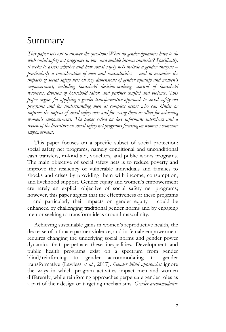## <span id="page-14-0"></span>Summary

*This paper sets out to answer the question: What do gender dynamics have to do with social safety net programs in low- and middle-income countries? Specifically, it seeks to assess whether and how social safety nets include a gender analysis – particularly a consideration of men and masculinities – and to examine the impacts of social safety nets on key dimensions of gender equality and women's empowerment, including household decision-making, control of household resources, division of household labor, and partner conflict and violence. This paper argues for applying a gender transformative approach to social safety net programs and for understanding men as complex actors who can hinder or improve the impact of social safety nets and for seeing them as allies for achieving women's empowerment. The paper relied on key informant interviews and a review of the literature on social safety net programs focusing on women's economic empowerment.*

This paper focuses on a specific subset of social protection: social safety net programs, namely conditional and unconditional cash transfers, in-kind aid, vouchers, and public works programs. The main objective of social safety nets is to reduce poverty and improve the resiliency of vulnerable individuals and families to shocks and crises by providing them with income, consumption, and livelihood support. Gender equity and women's empowerment are rarely an explicit objective of social safety net programs; however, this paper argues that the effectiveness of these programs – and particularly their impacts on gender equity – could be enhanced by challenging traditional gender norms and by engaging men or seeking to transform ideas around masculinity.

Achieving sustainable gains in women's reproductive health, the decrease of intimate partner violence, and in female empowerment requires changing the underlying social norms and gender power dynamics that perpetuate these inequalities. Development and public health programs exist on a spectrum from gender blind/reinforcing to gender accommodating to gender transformative (Lawless *et al.*, 2017). *Gender blind approaches* ignore the ways in which program activities impact men and women differently, while reinforcing approaches perpetuate gender roles as a part of their design or targeting mechanisms. *Gender accommodative*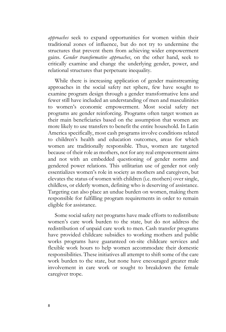*approaches* seek to expand opportunities for women within their traditional zones of influence, but do not try to undermine the structures that prevent them from achieving wider empowerment gains. *Gender transformative approaches*, on the other hand, seek to critically examine and change the underlying gender, power, and relational structures that perpetuate inequality.

While there is increasing application of gender mainstreaming approaches in the social safety net sphere, few have sought to examine program design through a gender transformative lens and fewer still have included an understanding of men and masculinities to women's economic empowerment. Most social safety net programs are gender reinforcing. Programs often target women as their main beneficiaries based on the assumption that women are more likely to use transfers to benefit the entire household. In Latin America specifically, most cash programs involve conditions related to children's health and education outcomes, areas for which women are traditionally responsible. Thus, women are targeted because of their role as mothers, not for any real empowerment aims and not with an embedded questioning of gender norms and gendered power relations. This utilitarian use of gender not only essentializes women's role in society as mothers and caregivers, but elevates the status of women with children (i.e. mothers) over single, childless, or elderly women, defining who is deserving of assistance. Targeting can also place an undue burden on women, making them responsible for fulfilling program requirements in order to remain eligible for assistance.

Some social safety net programs have made efforts to redistribute women's care work burden to the state, but do not address the redistribution of unpaid care work to men. Cash transfer programs have provided childcare subsidies to working mothers and public works programs have guaranteed on-site childcare services and flexible work hours to help women accommodate their domestic responsibilities. These initiatives all attempt to shift some of the care work burden to the state, but none have encouraged greater male involvement in care work or sought to breakdown the female caregiver trope.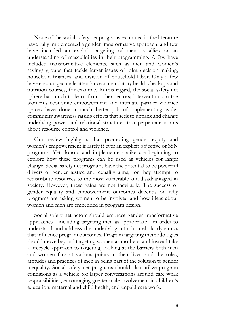None of the social safety net programs examined in the literature have fully implemented a gender transformative approach, and few have included an explicit targeting of men as allies or an understanding of masculinities in their programming. A few have included transformative elements, such as men and women's savings groups that tackle larger issues of joint decision-making, household finances, and division of household labor. Only a few have encouraged male attendance at mandatory health checkups and nutrition courses, for example. In this regard, the social safety net sphere has much to learn from other sectors; interventions in the women's economic empowerment and intimate partner violence spaces have done a much better job of implementing wider community awareness raising efforts that seek to unpack and change underlying power and relational structures that perpetuate norms about resource control and violence.

Our review highlights that promoting gender equity and women's empowerment is rarely if ever an explicit objective of SSN programs. Yet donors and implementers alike are beginning to explore how these programs can be used as vehicles for larger change. Social safety net programs have the potential to be powerful drivers of gender justice and equality aims, for they attempt to redistribute resources to the most vulnerable and disadvantaged in society. However, these gains are not inevitable. The success of gender equality and empowerment outcomes depends on why programs are asking women to be involved and how ideas about women and men are embedded in program design.

Social safety net actors should embrace gender transformative approaches—including targeting men as appropriate—in order to understand and address the underlying intra-household dynamics that influence program outcomes. Program targeting methodologies should move beyond targeting women as mothers, and instead take a lifecycle approach to targeting, looking at the barriers both men and women face at various points in their lives, and the roles, attitudes and practices of men in being part of the solution to gender inequality. Social safety net programs should also utilize program conditions as a vehicle for larger conversations around care work responsibilities, encouraging greater male involvement in children's education, maternal and child health, and unpaid care work.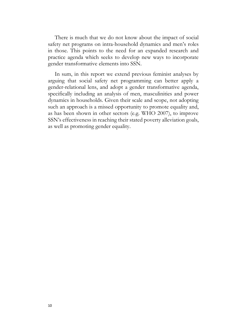There is much that we do not know about the impact of social safety net programs on intra-household dynamics and men's roles in those. This points to the need for an expanded research and practice agenda which seeks to develop new ways to incorporate gender transformative elements into SSN.

In sum, in this report we extend previous feminist analyses by arguing that social safety net programming can better apply a gender-relational lens, and adopt a gender transformative agenda, specifically including an analysis of men, masculinities and power dynamics in households. Given their scale and scope, not adopting such an approach is a missed opportunity to promote equality and, as has been shown in other sectors (e.g. WHO 2007), to improve SSN's effectiveness in reaching their stated poverty alleviation goals, as well as promoting gender equality.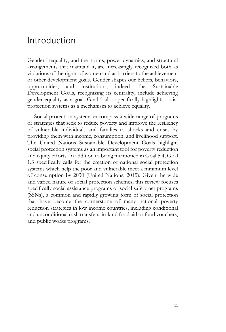## <span id="page-18-0"></span>Introduction

Gender inequality, and the norms, power dynamics, and structural arrangements that maintain it, are increasingly recognized both as violations of the rights of women and as barriers to the achievement of other development goals. Gender shapes our beliefs, behaviors, opportunities, and institutions; indeed, the Sustainable Development Goals, recognizing its centrality, include achieving gender equality as a goal. Goal 5 also specifically highlights social protection systems as a mechanism to achieve equality.

Social protection systems encompass a wide range of programs or strategies that seek to reduce poverty and improve the resiliency of vulnerable individuals and families to shocks and crises by providing them with income, consumption, and livelihood support. The United Nations Sustainable Development Goals highlight social protection systems as an important tool for poverty reduction and equity efforts. In addition to being mentioned in Goal 5.4, Goal 1.3 specifically calls for the creation of national social protection systems which help the poor and vulnerable meet a minimum level of consumption by 2030 (United Nations, 2015). Given the wide and varied nature of social protection schemes, this review focuses specifically social assistance programs or social safety net programs (SSNs), a common and rapidly growing form of social protection that have become the cornerstone of many national poverty reduction strategies in low income countries, including conditional and unconditional cash transfers, in-kind food aid or food vouchers, and public works programs.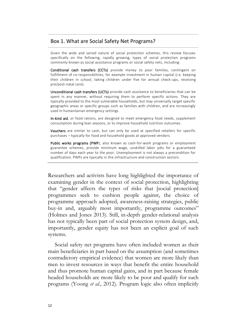#### Box 1. What are Social Safety Net Programs?

Given the wide and varied nature of social protection schemes, this review focuses specifically on the following, rapidly growing, types of social protection programs commonly known as social assistance programs or social safety nets, including:

Conditional cash transfers (CCTs) provide money to poor families, contingent on fulfillment of co-responsibilities, for example investment in human capital (i.e. keeping their children in school, taking children under five for annual check-ups, receiving pre/post-natal care).

Unconditional cash transfers (UCTs) provide cash assistance to beneficiaries that can be spent in any manner, without requiring them to perform specific actions. They are typically provided to the most vulnerable households, but may universally target specific geographic areas or specific groups such as families with children, and are increasingly used in humanitarian emergency settings.

In-kind aid, or food rations, are designed to meet emergency food needs, supplement consumption during lean seasons, or to improve household nutrition outcomes.

Vouchers are similar to cash, but can only be used at specified retailers for specific purchases – typically for food and household goods at approved vendors.

Public works programs (PWP), also known as cash-for-work programs or employment guarantee schemes, provide minimum wage, unskilled labor jobs for a guaranteed number of days each year to the poor. Unemployment is not always a precondition for qualification. PWPs are typically in the infrastructure and construction sectors.

Researchers and activists have long highlighted the importance of examining gender in the context of social protection, highlighting that "gender affects the types of risks that [social protection] programmes seek to cushion people against, the choice of programme approach adopted, awareness-raising strategies, public buy-in and, arguably most importantly, programme outcomes" (Holmes and Jones 2013). Still, in-depth gender-relational analysis has not typically been part of social protection system design, and, importantly, gender equity has not been an explicit goal of such systems.

Social safety net programs have often included women as their main beneficiaries in part based on the assumption (and sometimes contradictory empirical evidence) that women are more likely than men to invest resources in ways that benefit the entire household and thus promote human capital gains, and in part because female headed households are more likely to be poor and qualify for such programs (Yoong *et al.*, 2012). Program logic also often implicitly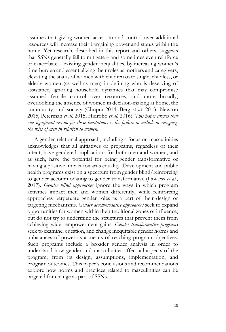assumes that giving women access to and control over additional resources will increase their bargaining power and status within the home. Yet research, described in this report and others, suggests that SSNs generally fail to mitigate – and sometimes even reinforce or exacerbate – existing gender inequalities, by increasing women's time-burden and essentializing their roles as mothers and caregivers, elevating the status of women with children over single, childless, or elderly women (as well as men) in defining who is deserving of assistance, ignoring household dynamics that may compromise assumed female control over resources, and more broadly, overlooking the absence of women in decision-making at home, the community, and society (Chopra 2014; Berg *et al.* 2013; Newton 2015, Peterman *et al.* 2015, Hidrobo *et al.* 2016). *This paper argues that one significant reason for these limitations is the failure to include or recognize the roles of men in relation to women.*

A gender-relational approach, including a focus on masculinities acknowledges that all initiatives or programs, regardless of their intent, have gendered implications for both men and women, and as such, have the potential for being gender transformative or having a positive impact towards equality. Development and public health programs exist on a spectrum from gender blind/reinforcing to gender accommodating to gender transformative (Lawless *et al.*, 2017). *Gender blind approaches* ignore the ways in which program activities impact men and women differently, while reinforcing approaches perpetuate gender roles as a part of their design or targeting mechanisms. *Gender accommodative approaches* seek to expand opportunities for women within their traditional zones of influence, but do not try to undermine the structures that prevent them from achieving wider empowerment gains. *Gender transformative programs*  seek to examine, question, and change inequitable gender norms and imbalances of power as a means of reaching program objectives. Such programs include a broader gender analysis in order to understand how gender and masculinities affect all aspects of the program, from its design, assumptions, implementation, and program outcomes. This paper's conclusions and recommendations explore how norms and practices related to masculinities can be targeted for change as part of SSNs.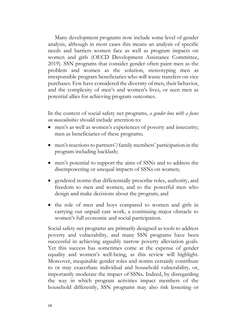Many development programs now include some level of gender analysis, although in most cases this means an analysis of specific needs and barriers women face as well as program impacts on women and girls (OECD Development Assistance Committee, 2019). SSN programs that consider gender often paint men as the problem and women as the solution, stereotyping men as irresponsible program beneficiaries who will waste transfers on vice purchases. Few have considered the diversity of men, their behavior, and the complexity of men's and women's lives, or seen men as potential allies for achieving program outcomes.

In the context of social safety net programs, *a gender lens with a focus on masculinities* should include attention to:

- men's as well as women's experiences of poverty and insecurity; men as beneficiaries of these programs;
- men's reactions to partners'/family members' participation in the program including backlash;
- men's potential to support the aims of SSNs and to address the disempowering or unequal impacts of SSNs on women;
- gendered norms that differentially prescribe roles, authority, and freedom to men and women, and to the powerful men who design and make decisions about the program; and
- the role of men and boys compared to women and girls in carrying out unpaid care work, a continuing major obstacle to women's full economic and social participation.

Social safety net programs are primarily designed as tools to address poverty and vulnerability, and many SSN programs have been successful in achieving arguably narrow poverty alleviation goals. Yet this success has sometimes come at the expense of gender equality and women's well-being, as this review will highlight. Moreover, inequitable gender roles and norms certainly contribute to or may exacerbate individual and household vulnerability, or, importantly moderate the impact of SSNs**.** Indeed, by disregarding the way in which program activities impact members of the household differently, SSN programs may also risk lessening or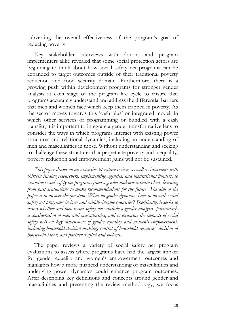subverting the overall effectiveness of the program's goal of reducing poverty.

Key stakeholder interviews with donors and program implementers alike revealed that some social protection actors are beginning to think about how social safety net programs can be expanded to target outcomes outside of their traditional poverty reduction and food security domain. Furthermore, there is a growing push within development programs for stronger gender analysis at each stage of the program life cycle to ensure that programs accurately understand and address the differential barriers that men and women face which keep them trapped in poverty. As the sector moves towards this 'cash plus' or integrated model, in which other services or programming or bundled with a cash transfer, it is important to integrate a gender transformative lens to consider the ways in which programs interact with existing power structures and relational dynamics, including an understanding of men and masculinities in those. Without understanding and seeking to challenge these structures that perpetuate poverty and inequality, poverty reduction and empowerment gains will not be sustained.

*This paper draws on an extensive literature review, as well as interviews with thirteen leading researchers, implementing agencies, and institutional funders, to examine social safety net programs from a gender and masculinities lens, learning from past evaluations to make recommendations for the future. The aim of the paper is to answer the question: What do gender dynamics have to do with social safety net programs in low- and middle-income countries? Specifically, it seeks to assess whether and how social safety nets include a gender analysis, particularly a consideration of men and masculinities, and to examine the impacts of social safety nets on key dimensions of gender equality and women's empowerment, including household decision-making, control of household resources, division of household labor, and partner conflict and violence*.

The paper reviews a variety of social safety net program evaluations to assess where programs have had the largest impact for gender equality and women's empowerment outcomes and highlights how a more nuanced understanding of masculinities and underlying power dynamics could enhance program outcomes. After describing key definitions and concepts around gender and masculinities and presenting the review methodology, we focus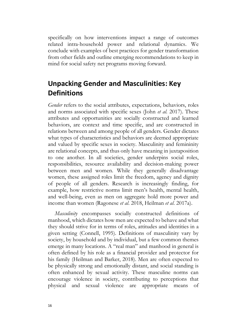specifically on how interventions impact a range of outcomes related intra-household power and relational dynamics. We conclude with examples of best practices for gender transformation from other fields and outline emerging recommendations to keep in mind for social safety net programs moving forward.

### <span id="page-23-0"></span>**Unpacking Gender and Masculinities: Key Definitions**

*Gender* refers to the social attributes, expectations, behaviors, roles and norms associated with specific sexes (John *et al.* 2017). These attributes and opportunities are socially constructed and learned behaviors, are context and time specific, and are constructed in relations between and among people of all genders. Gender dictates what types of characteristics and behaviors are deemed appropriate and valued by specific sexes in society. Masculinity and femininity are relational concepts, and thus only have meaning in juxtaposition to one another. In all societies, gender underpins social roles, responsibilities, resource availability and decision-making power between men and women. While they generally disadvantage women, these assigned roles limit the freedom, agency and dignity of people of all genders. Research is increasingly finding, for example, how restrictive norms limit men's health, mental health, and well-being, even as men on aggregate hold more power and income than women (Ragonese *et al*. 2018, Heilman *et al*. 2017a).

*Masculinity* encompasses socially constructed definitions of manhood, which dictates how men are expected to behave and what they should strive for in terms of roles, attitudes and identities in a given setting (Connell, 1995). Definitions of masculinity vary by society, by household and by individual, but a few common themes emerge in many locations. A "real man" and manhood in general is often defined by his role as a financial provider and protector for his family (Heilman and Barker, 2018). Men are often expected to be physically strong and emotionally distant, and social standing is often enhanced by sexual activity. These masculine norms can encourage violence in society, contributing to perceptions that physical and sexual violence are appropriate means of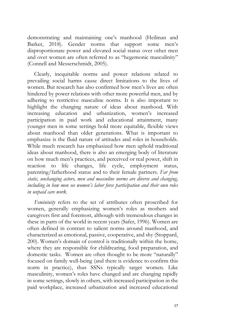demonstrating and maintaining one's manhood (Heilman and Barker, 2018). Gender norms that support some men's disproportionate power and elevated social status over other men and over women are often referred to as "hegemonic masculinity" (Connell and Messerschmidt, 2005).

Clearly, inequitable norms and power relations related to prevailing social harms cause direct limitations to the lives of women. But research has also confirmed how men's lives are often hindered by power relations with other more powerful men, and by adhering to restrictive masculine norms. It is also important to highlight the changing nature of ideas about manhood. With increasing education and urbanization, women's increased participation in paid work and educational attainment, many younger men in some settings hold more equitable, flexible views about manhood than older generations. What is important to emphasize is the fluid nature of attitudes and roles in households. While much research has emphasized how men uphold traditional ideas about manhood, there is also an emerging body of literature on how much men's practices, and perceived or real power, shift in reaction to life changes, life cycle, employment status, parenting/fatherhood status and to their female partners. *Far from static, unchanging actors, men and masculine norms are diverse and changing, including in how men see women's labor force participation and their own roles in unpaid care work.*

*Femininity* refers to the set of attributes often proscribed for women, generally emphasizing women's roles as mothers and caregivers first and foremost, although with tremendous changes in these in parts of the world in recent years (Safer, 1996). Women are often defined in contrast to salient norms around manhood, and characterized as emotional, passive, cooperative, and shy (Stoppard, 200). Women's domain of control is traditionally within the home, where they are responsible for childrearing, food preparation, and domestic tasks. Women are often thought to be more "naturally" focused on family well-being (and there is evidence to confirm this norm in practice), thus SSNs typically target women. Like masculinity, women's roles have changed and are changing rapidly in some settings, slowly in others, with increased participation in the paid workplace, increased urbanization and increased educational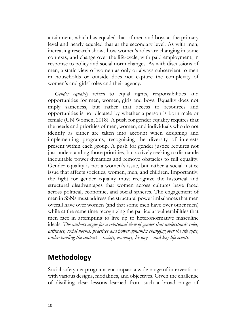attainment, which has equaled that of men and boys at the primary level and nearly equaled that at the secondary level. As with men, increasing research shows how women's roles are changing in some contexts, and change over the life-cycle, with paid employment, in response to policy and social norm changes. As with discussions of men, a static view of women as only or always subservient to men in households or outside does not capture the complexity of women's and girls' roles and their agency.

*Gender equality* refers to equal rights, responsibilities and opportunities for men, women, girls and boys. Equality does not imply sameness, but rather that access to resources and opportunities is not dictated by whether a person is born male or female (UN Women, 2018). A push for gender equality requires that the needs and priorities of men, women, and individuals who do not identify as either are taken into account when designing and implementing programs, recognizing the diversity of interests present within each group. A push for gender justice requires not just understanding those priorities, but actively seeking to dismantle inequitable power dynamics and remove obstacles to full equality. Gender equality is not a women's issue, but rather a social justice issue that affects societies, women, men, and children. Importantly, the fight for gender equality must recognize the historical and structural disadvantages that women across cultures have faced across political, economic, and social spheres. The engagement of men in SSNs must address the structural power imbalances that men overall have over women (and that some men have over other men) while at the same time recognizing the particular vulnerabilities that men face in attempting to live up to heteronormative masculine ideals. *The authors argue for a relational view of gender that understands roles, attitudes, social norms, practices and power dynamics changing over the life cycle, understanding the context – society, economy, history – and key life events.*

#### <span id="page-25-0"></span>**Methodology**

Social safety net programs encompass a wide range of interventions with various designs, modalities, and objectives. Given the challenge of distilling clear lessons learned from such a broad range of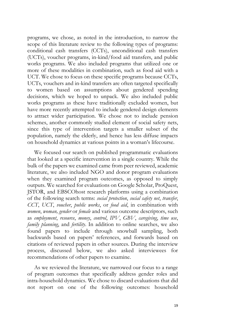programs, we chose, as noted in the introduction, to narrow the scope of this literature review to the following types of programs: conditional cash transfers (CCTs), unconditional cash transfers (UCTs), voucher programs, in-kind/food aid transfers, and public works programs. We also included programs that utilized one or more of these modalities in combination, such as food aid with a UCT. We chose to focus on these specific programs because CCTs, UCTs, vouchers and in-kind transfers are often targeted specifically to women based on assumptions about gendered spending decisions, which we hoped to unpack. We also included public works programs as these have traditionally excluded women, but have more recently attempted to include gendered design elements to attract wider participation. We chose not to include pension schemes, another commonly studied element of social safety nets, since this type of intervention targets a smaller subset of the population, namely the elderly, and hence has less diffuse impacts on household dynamics at various points in a woman's lifecourse.

We focused our search on published programmatic evaluations that looked at a specific intervention in a single country. While the bulk of the papers we examined came from peer reviewed, academic literature, we also included NGO and donor program evaluations when they examined program outcomes, as opposed to simply outputs. We searched for evaluations on Google Scholar, ProQuest, JSTOR, and EBSCOhost research platforms using a combination of the following search terms: *social protection*, *social safety net*, *transfer*, *CCT*, *UCT*, *voucher*, *public works*, or *food aid*, in combination with *women*, *woman, gender* or *female* and various outcome descriptors, such as *employment*, *resource*, *money*, *control*, *IPV*, *GBV*, *caregiving*, *time use*, *family planning*, and *fertility*. In addition to online searches, we also found papers to include through snowball sampling, both backwards based on papers' references, and forwards based on citations of reviewed papers in other sources. During the interview process, discussed below, we also asked interviewees for recommendations of other papers to examine.

As we reviewed the literature, we narrowed our focus to a range of program outcomes that specifically address gender roles and intra-household dynamics. We chose to discard evaluations that did not report on one of the following outcomes: household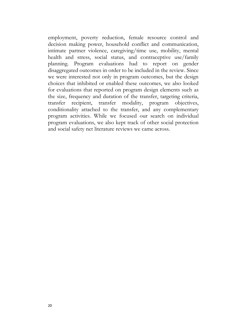employment, poverty reduction, female resource control and decision making power, household conflict and communication, intimate partner violence, caregiving/time use, mobility, mental health and stress, social status, and contraceptive use/family planning. Program evaluations had to report on gender disaggregated outcomes in order to be included in the review. Since we were interested not only in program outcomes, but the design choices that inhibited or enabled these outcomes, we also looked for evaluations that reported on program design elements such as the size, frequency and duration of the transfer, targeting criteria, transfer recipient, transfer modality, program objectives, conditionality attached to the transfer, and any complementary program activities. While we focused our search on individual program evaluations, we also kept track of other social protection and social safety net literature reviews we came across.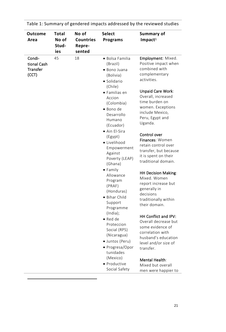| Outcome<br>Area                                   | Total<br>No of<br>Stud-<br>ies | No of<br><b>Countries</b><br>Repre-<br>sented | <b>Select</b><br><b>Programs</b>                                                                                                                                                                                                                                                                                                                                                                                                                                                                                                                                           | Summary of<br>Impact <sup>1</sup>                                                                                                                                                                                                                                                                                                                                                                                                                                                                                                                                                                                                                                                                      |
|---------------------------------------------------|--------------------------------|-----------------------------------------------|----------------------------------------------------------------------------------------------------------------------------------------------------------------------------------------------------------------------------------------------------------------------------------------------------------------------------------------------------------------------------------------------------------------------------------------------------------------------------------------------------------------------------------------------------------------------------|--------------------------------------------------------------------------------------------------------------------------------------------------------------------------------------------------------------------------------------------------------------------------------------------------------------------------------------------------------------------------------------------------------------------------------------------------------------------------------------------------------------------------------------------------------------------------------------------------------------------------------------------------------------------------------------------------------|
| Condi-<br>tional Cash<br><b>Transfer</b><br>(CCT) | 45                             | 18                                            | · Bolsa Familia<br>(Brazil)<br>· Bono Juana<br>(Bolivia)<br>• Solidario<br>(Chile)<br>$\bullet$ Familias en<br>Accion<br>(Colombia)<br>· Bono de<br>Desarrollo<br>Humano<br>(Ecuador)<br>• Ain El-Sira<br>(Egypt)<br>· Livelihood<br>Empowerment<br>Against<br>Poverty (LEAP)<br>(Ghana)<br>$\bullet$ Family<br>Allowance<br>Program<br>(PRAF)<br>(Honduras)<br>• Bihar Child<br>Support<br>Programme<br>(India);<br>• Red de<br>Proteccion<br>Social (RPS)<br>(Nicaragua)<br>· Juntos (Peru)<br>• Progresa/Opor<br>tunidades<br>(Mexico)<br>• Productive<br>Social Safety | Employment: Mixed.<br>Positive impact when<br>combined with<br>complementary<br>activities.<br>Unpaid Care Work:<br>Overall, increased<br>time burden on<br>women. Exceptions<br>include Mexico,<br>Peru, Egypt and<br>Uganda.<br>Control over<br>Finances: Women<br>retain control over<br>transfer, but because<br>it is spent on their<br>traditional domain.<br><b>HH Decision Making:</b><br>Mixed. Women<br>report increase but<br>generally in<br>decisions<br>traditionally within<br>their domain.<br>HH Conflict and IPV:<br>Overall decrease but<br>some evidence of<br>correlation with<br>husband's education<br>level and/or size of<br>transfer.<br>Mental Health:<br>Mixed but overall |
|                                                   |                                |                                               |                                                                                                                                                                                                                                                                                                                                                                                                                                                                                                                                                                            | men were happier to                                                                                                                                                                                                                                                                                                                                                                                                                                                                                                                                                                                                                                                                                    |

 $\overline{a}$ 

Table 1: Summary of gendered impacts addressed by the reviewed studies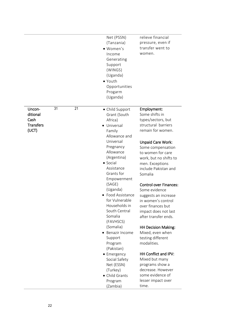|                                                              | Net (PSSN)<br>(Tanzania)<br>• Women's<br>Income<br>Generating<br>Support<br>(WINGS)<br>(Uganda)<br>• Youth<br>Opportunities<br>Progarm<br>(Uganda)                                                                                                                                                                                                                                                                                                                                               | relieve financial<br>pressure, even if<br>transfer went to<br>women.                                                                                                                                                                                                                                                                                                                                                                                                                                                                                                                                                                           |
|--------------------------------------------------------------|--------------------------------------------------------------------------------------------------------------------------------------------------------------------------------------------------------------------------------------------------------------------------------------------------------------------------------------------------------------------------------------------------------------------------------------------------------------------------------------------------|------------------------------------------------------------------------------------------------------------------------------------------------------------------------------------------------------------------------------------------------------------------------------------------------------------------------------------------------------------------------------------------------------------------------------------------------------------------------------------------------------------------------------------------------------------------------------------------------------------------------------------------------|
| 21<br>31<br>Uncon-<br>ditional<br>Cash<br>Transfers<br>(UCT) | • Child Support<br>Grant (South<br>Africa)<br>• Universal<br>Family<br>Allowance and<br>Universal<br>Pregnancy<br>Allowance<br>(Argentina)<br>• Social<br>Assistance<br>Grants for<br>Empowerment<br>(SAGE)<br>(Uganda)<br>• Food Assistance<br>for Vulnerable<br>Households in<br>South Central<br>Somalia<br>(FAVHSCS)<br>(Somalia)<br>• Benazir Income<br>Support<br>Program<br>(Pakistan)<br>• Emergency<br>Social Safety<br>Net (ESSN)<br>(Turkey)<br>• Child Grants<br>Program<br>(Zambia) | Employment:<br>Some shifts in<br>types/sectors, but<br>structural barriers<br>remain for women.<br>Unpaid Care Work:<br>Some compensation<br>to women for care<br>work, but no shifts to<br>men. Exceptions<br>include Pakistan and<br>Somalia<br><b>Control over Finances:</b><br>Some evidence<br>suggests an increase<br>in women's control<br>over finances but<br>impact does not last<br>after transfer ends.<br><b>HH Decision Making:</b><br>Mixed, even when<br>testing different<br>modalities.<br>HH Conflict and IPV:<br>Mixed but many<br>programs show a<br>decrease. However<br>some evidence of<br>lesser impact over<br>time. |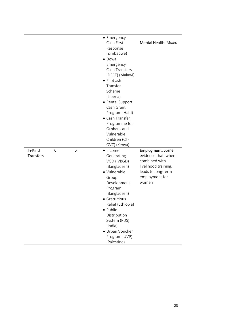|                             |   |   | • Emergency<br>Cash First<br>Response<br>(Zimbabwe)<br>• Dowa<br>Emergency<br>Cash Transfers<br>(DECT) (Malawi)<br>• Pilot ash<br>Transfer<br>Scheme<br>(Liberia)<br>• Rental Support<br>Cash Grant<br>Program (Haiti)<br>• Cash Transfer<br>Programme for<br>Orphans and<br>Vulnerable<br>Children (CT-<br>OVC) (Kenya) | Mental Health: Mixed.                                                                                                             |
|-----------------------------|---|---|--------------------------------------------------------------------------------------------------------------------------------------------------------------------------------------------------------------------------------------------------------------------------------------------------------------------------|-----------------------------------------------------------------------------------------------------------------------------------|
| In-Kind<br><b>Transfers</b> | 6 | 5 | $\bullet$ Income<br>Generating<br>VGD (IVBGD)<br>(Bangladesh)<br>· Vulnerable<br>Group<br>Development<br>Program<br>(Bangladesh)<br>• Gratuitious<br>Relief (Ethiopia)<br>• Public<br>Distribution<br>System (PDS)<br>(India)<br>• Urban Voucher<br>Program (UVP)<br>(Palestine)                                         | Employment: Some<br>evidence that, when<br>combined with<br>livelihood training,<br>leads to long-term<br>employment for<br>women |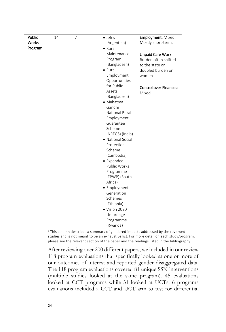$1$  This column describes a summary of gendered impacts addressed by the reviewed studies and is not meant to be an exhaustive list. For more detail on each study/program, please see the relevant section of the paper and the readings listed in the bibliography.

After reviewing over 200 different papers, we included in our review 118 program evaluations that specifically looked at one or more of our outcomes of interest and reported gender disaggregated data. The 118 program evaluations covered 81 unique SSN interventions (multiple studies looked at the same program). 45 evaluations looked at CCT programs while 31 looked at UCTs. 6 programs evaluations included a CCT and UCT arm to test for differential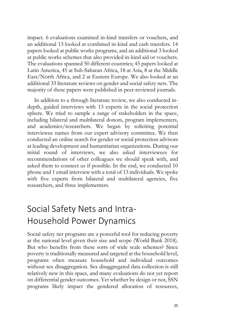impact. 6 evaluations examined in-kind transfers or vouchers, and an additional 13 looked at combined in-kind and cash transfers. 14 papers looked at public works programs, and an additional 3 looked at public works schemes that also provided in-kind aid or vouchers. The evaluations spanned 50 different countries; 45 papers looked at Latin America, 45 at Sub-Saharan Africa, 18 at Asia, 8 at the Middle East/North Africa, and 2 at Eastern Europe. We also looked at an additional 33 literature reviews on gender and social safety nets. The majority of these papers were published in peer-reviewed journals.

In addition to a through literature review, we also conducted indepth, guided interviews with 13 experts in the social protection sphere. We tried to sample a range of stakeholders in the space, including bilateral and multilateral donors, program implementers, and academics/researchers. We began by soliciting potential interviewee names from our expert advisory committee. We then conducted an online search for gender or social protection advisors at leading development and humanitarian organizations. During our initial round of interviews, we also asked interviewees for recommendations of other colleagues we should speak with, and asked them to connect us if possible. In the end, we conducted 10 phone and 1 email interview with a total of 13 individuals. We spoke with five experts from bilateral and multilateral agencies, five researchers, and three implementers.

# <span id="page-32-0"></span>Social Safety Nets and Intra-Household Power Dynamics

Social safety net programs are a powerful tool for reducing poverty at the national level given their size and scope (World Bank 2018). But who benefits from these sorts of wide scale schemes? Since poverty is traditionally measured and targeted at the household level, programs often measure household and individual outcomes without sex disaggregation. Sex disaggregated data collection is still relatively new in this space, and many evaluations do not yet report on differential gender outcomes. Yet whether by design or not, SSN programs likely impact the gendered allocation of resources,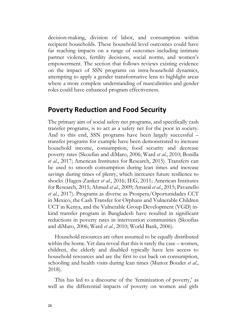decision-making, division of labor, and consumption within recipient households. These household level outcomes could have far reaching impacts on a range of outcomes including intimate partner violence, fertility decisions, social norms, and women's empowerment. The section that follows reviews existing evidence on the impact of SSN programs on intra-household dynamics, attempting to apply a gender transformative lens to highlight areas where a more complete understanding of masculinities and gender roles could have enhanced program effectiveness.

#### <span id="page-33-0"></span>**Poverty Reduction and Food Security**

The primary aim of social safety net programs, and specifically cash transfer programs, is to act as a safety net for the poor in society. And to this end, SSN programs have been largely successful – transfer programs for example have been demonstrated to increase household income, consumption, food security and decrease poverty rates (Skoufias and diMaro, 2006; Ward *et al.*, 2010; Bonilla *et al.*, 2017; American Institutes for Research, 2015). Transfers can be used to smooth consumption during lean times and increase savings during times of plenty, which increases future resilience to shocks (Hagen-Zanker *et al.*, 2016; IEG, 2011; American Institutes for Research, 2015; Ahmed *et al.*, 2009; Amaral *et al.*, 2015; Pavanello *et al.*, 2017). Programs as diverse as Prospera/Oportunidades CCT in Mexico, the Cash Transfer for Orphans and Vulnerable Children UCT in Kenya, and the Vulnerable Group Development (VGD) inkind transfer program in Bangladesh have resulted in significant reductions in poverty rates in intervention communities (Skoufias and diMaro, 2006; Ward *et al.*, 2010; World Bank, 2006).

Household resources are often assumed to be equally distributed within the home. Yet data reveal that this is rarely the case – women, children, the elderly and disabled typically have less access to household resources and are the first to cut back on consumption, schooling and health visits during lean times (Munoz Boudet *et al.*, 2018).

This has led to a discourse of the 'feminization of poverty,' as well as the differential impacts of poverty on women and girls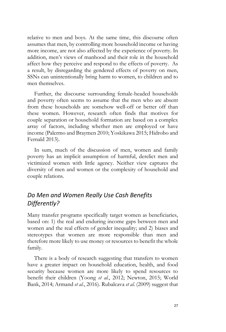relative to men and boys. At the same time, this discourse often assumes that men, by controlling more household income or having more income, are not also affected by the experience of poverty. In addition, men's views of manhood and their role in the household affect how they perceive and respond to the effects of poverty. As a result, by disregarding the gendered effects of poverty on men, SSNs can unintentionally bring harm to women, to children and to men themselves.

Further, the discourse surrounding female-headed households and poverty often seems to assume that the men who are absent from these households are somehow well-off or better off than these women. However, research often finds that motives for couple separation or household formation are based on a complex array of factors, including whether men are employed or have income (Palermo and Braymen 2010; Yoskikawa 2015; Hidrobo and Fernald 2013).

In sum, much of the discussion of men, women and family poverty has an implicit assumption of harmful, derelict men and victimized women with little agency. Neither view captures the diversity of men and women or the complexity of household and couple relations.

#### *Do Men and Women Really Use Cash Benefits Differently?*

Many transfer programs specifically target women as beneficiaries, based on: 1) the real and enduring income gaps between men and women and the real effects of gender inequality; and 2) biases and stereotypes that women are more responsible than men and therefore more likely to use money or resources to benefit the whole family.

There is a body of research suggesting that transfers to women have a greater impact on household education, health, and food security because women are more likely to spend resources to benefit their children (Yoong *et al.*, 2012; Newton, 2015; World Bank, 2014; Armand *et al*., 2016). Rubalcava *et al.* (2009) suggest that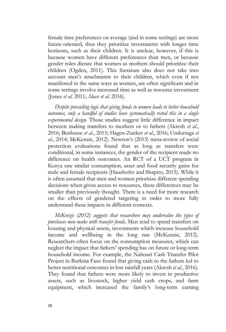female time preferences on average (and in some settings) are more future-oriented, thus they prioritize investments with longer time horizons, such as their children. It is unclear, however, if this is because women have different preferences than men, or because gender roles dictate that women as mothers should prioritize their children (Ogden, 2011). This literature also does not take into account men's attachments to their children, which even if not manifested in the same ways as women, are often significant and in some settings involve increased time as well as resource investment (Jones *et al.* 2011; Aker *et al.* 2016).

*Despite prevailing logic that giving funds to women leads to better household outcomes, only a handful of studies have systematically tested this in a single experimental design.* Those studies suggest little difference in impact between making transfers to mothers or to fathers (Akresh *et al*., 2016; Benhasse *et al*., 2015; Hagen-Zanker *et al*., 2016; Undurraga *et al*., 2014; McKenzie, 2012). Newton's (2015) meta-review of social protection evaluations found that as long as transfers were conditional, in some instances, the gender of the recipient made no difference on health outcomes. An RCT of a UCT program in Kenya saw similar consumption, asset and food security gains for male and female recipients (Haushofer and Shapiro, 2015). While it is often assumed that men and women prioritize different spending decisions when given access to resources, these differences may be smaller than previously thought. There is a need for more research on the effects of gendered targeting in order to more fully understand these impacts in different contexts.

*McKenzie (2012) suggests that researchers may undervalue the types of purchases men make with transfer funds*. Men tend to spend transfers on housing and physical assets, investments which increase household income and wellbeing in the long run (McKenzie, 2012). Researchers often focus on the consumption measures, which can neglect the impact that fathers' spending has on future or long-term household income. For example, the Nahouri Cash Transfer Pilot Project in Burkina Faso found that giving cash to the fathers led to better nutritional outcomes in low rainfall years (Akresh *et al.*, 2016). They found that fathers were more likely to invest in productive assets, such as livestock, higher yield cash crops, and farm equipment, which increased the family's long-term earning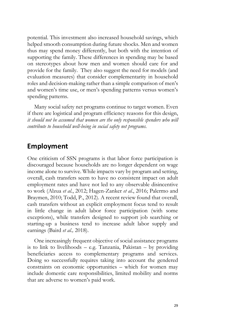potential. This investment also increased household savings, which helped smooth consumption during future shocks. Men and women thus may spend money differently, but both with the intention of supporting the family. These differences in spending may be based on stereotypes about how men and women should care for and provide for the family. They also suggest the need for models (and evaluation measures) that consider complementarity in household roles and decision-making rather than a simple comparison of men's and women's time use, or men's spending patterns versus women's spending patterns.

Many social safety net programs continue to target women. Even if there are logistical and program efficiency reasons for this design, *it should not be assumed that women are the only responsible spenders who will contribute to household well-being in social safety net programs.*

# **Employment**

One criticism of SSN programs is that labor force participation is discouraged because households are no longer dependent on wage income alone to survive. While impacts vary by program and setting, overall, cash transfers seem to have no consistent impact on adult employment rates and have not led to any observable disincentive to work (Alzua *et al.*, 2012; Hagen-Zanker *et al.*, 2016; Palermo and Braymen, 2010; Todd, P., 2012). A recent review found that overall, cash transfers without an explicit employment focus tend to result in little change in adult labor force participation (with some exceptions), while transfers designed to support job searching or starting-up a business tend to increase adult labor supply and earnings (Baird *et al.,* 2018).

One increasingly frequent objective of social assistance programs is to link to livelihoods – e.g. Tanzania, Pakistan – by providing beneficiaries access to complementary programs and services. Doing so successfully requires taking into account the gendered constraints on economic opportunities – which for women may include domestic care responsibilities, limited mobility and norms that are adverse to women's paid work.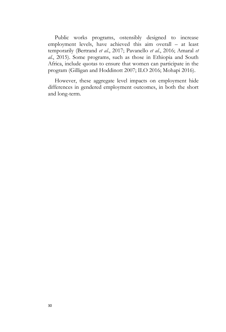Public works programs, ostensibly designed to increase employment levels, have achieved this aim overall – at least temporarily (Bertrand *et al.*, 2017; Pavanello *et al.*, 2016; Amaral *et al.*, 2015). Some programs, such as those in Ethiopia and South Africa, include quotas to ensure that women can participate in the program (Gilligan and Hoddinott 2007; ILO 2016; Mohapi 2016).

However, these aggregate level impacts on employment hide differences in gendered employment outcomes, in both the short and long-term.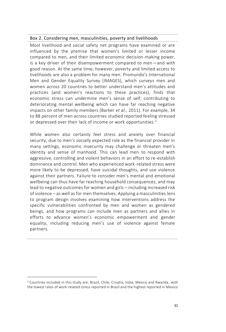#### Box 2. Considering men, masculinities, poverty and livelihoods

Most livelihood and social safety net programs have examined or are influenced by the premise that women's limited or lesser income compared to men, and their limited economic decision-making power, is a key driver of their disempowerment compared to men—and with good reason. At the same time, however, poverty and limited access to livelihoods are also a problem for many men. Promundo's International Men and Gender Equality Survey (IMAGES), which surveys men and women across 20 countries to better understand men's attitudes and practices (and women's reactions to these practices), finds that economic stress can undermine men's sense of self, contributing to deteriorating mental wellbeing which can have far reaching negative impacts on other family members (Barker *et al*., 2011). For example, 34 to 88 percent of men across countries studied reported feeling stressed or depressed over their lack of income or work opportunities.<sup>2</sup>

While women also certainly feel stress and anxiety over financial security, due to men's socially expected role as the financial provider in many settings, economic insecurity may challenge or threaten men's identity and sense of manhood. This can lead men to respond with aggressive, controlling and violent behaviors in an effort to re-establish dominance and control. Men who experienced work-related stress were more likely to be depressed, have suicidal thoughts, and use violence against their partners. Failure to consider men's mental and emotional wellbeing can thus have far reaching household consequences, and may lead to negative outcomes for women and girls – including increased risk of violence – as well as for men themselves. Applying a masculinities lens to program design involves examining how interventions address the specific vulnerabilities confronted by men and women as gendered beings, and how programs can include men as partners and allies in efforts to advance women's economic empowerment and gender equality, including reducing men's use of violence against female partners.

 $\overline{a}$  $2$  Countries included in this study are: Brazil, Chile, Croatia, India, Mexico and Rwanda, with the lowest rates of work-related stress reported in Brazil and the highest reported in Mexico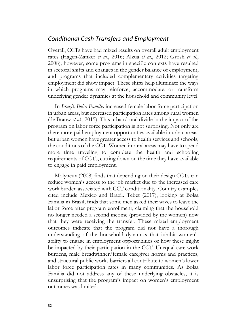#### *Conditional Cash Transfers and Employment*

Overall, CCTs have had mixed results on overall adult employment rates (Hagen-Zanker *et al.*, 2016; Alzua *et al,*, 2012; Grosh *et al.*, 2008); however, some programs in specific contexts have resulted in sectoral shifts and changes in the gender balance of employment, and programs that included complementary activities targeting employment did show impact. These shifts help illuminate the ways in which programs may reinforce, accommodate, or transform underlying gender dynamics at the household and community level.

In *Brazil, Bolsa Familia* increased female labor force participation in urban areas, but decreased participation rates among rural women (de Brauw *et al.*, 2015). This urban/rural divide in the impact of the program on labor force participation is not surprising. Not only are there more paid employment opportunities available in urban areas, but urban women have greater access to health services and schools, the conditions of the CCT. Women in rural areas may have to spend more time traveling to complete the health and schooling requirements of CCTs, cutting down on the time they have available to engage in paid employment.

Molyneux (2008) finds that depending on their design CCTs can reduce women's access to the job market due to the increased care work burden associated with CCT conditionality. Country examples cited include Mexico and Brazil. Tebet (2017), looking at Bolsa Familia in Brazil, finds that some men asked their wives to leave the labor force after program enrollment, claiming that the household no longer needed a second income (provided by the women) now that they were receiving the transfer. These mixed employment outcomes indicate that the program did not have a thorough understanding of the household dynamics that inhibit women's ability to engage in employment opportunities or how these might be impacted by their participation in the CCT. Unequal care work burdens, male breadwinner/female caregiver norms and practices, and structural public works barriers all contribute to women's lower labor force participation rates in many communities. As Bolsa Familia did not address any of these underlying obstacles, it is unsurprising that the program's impact on women's employment outcomes was limited.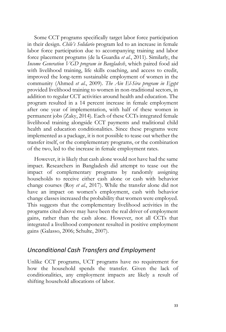Some CCT programs specifically target labor force participation in their design. *Chile's Solidario* program led to an increase in female labor force participation due to accompanying training and labor force placement programs (de la Guardia *et al.*, 2011). Similarly, the *Income Generation VGD program in Bangladesh*, which paired food aid with livelihood training, life skills coaching, and access to credit, improved the long-term sustainable employment of women in the community (Ahmed *et al.*, 2009). *The Ain El-Sira program in Egypt* provided livelihood training to women in non-traditional sectors, in addition to regular CCT activities around health and education. The program resulted in a 14 percent increase in female employment after one year of implementation, with half of these women in permanent jobs (Zaky, 2014). Each of these CCTs integrated female livelihood training alongside CCT payments and traditional child health and education conditionalities. Since these programs were implemented as a package, it is not possible to tease out whether the transfer itself, or the complementary programs, or the combination of the two, led to the increase in female employment rates.

However, it is likely that cash alone would not have had the same impact. Researchers in Bangladesh did attempt to tease out the impact of complementary programs by randomly assigning households to receive either cash alone or cash with behavior change courses (Roy *et al.*, 2017). While the transfer alone did not have an impact on women's employment, cash with behavior change classes increased the probability that women were employed. This suggests that the complementary livelihood activities in the programs cited above may have been the real driver of employment gains, rather than the cash alone. However, not all CCTs that integrated a livelihood component resulted in positive employment gains (Galasso, 2006; Schulte, 2007).

#### *Unconditional Cash Transfers and Employment*

Unlike CCT programs, UCT programs have no requirement for how the household spends the transfer. Given the lack of conditionalities, any employment impacts are likely a result of shifting household allocations of labor.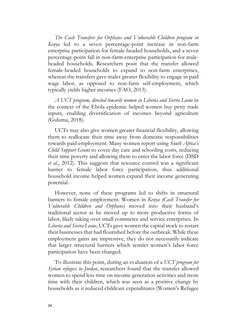*The Cash Transfers for Orphans and Vulnerable Children program in Kenya* led to a seven percentage-point increase in non-farm enterprise participation for female-headed households, and a seven percentage-point fall in non-farm enterprise participation for maleheaded households. Researchers posit that the transfer allowed female-headed households to expand to non-farm enterprises, whereas the transfers gave males greater flexibility to engage in paid wage labor, as opposed to non-farm self-employment, which typically yields higher incomes (FAO, 2013).

*A UCT program, directed towards women in Liberia and Sierra Leone* in the context of the Ebola epidemic helped women buy petty trade inputs, enabling diversification of incomes beyond agriculture (Guluma, 2018).

UCTs may also give women greater financial flexibility, allowing them to reallocate their time away from domestic responsibilities towards paid employment. Many women report using *South Africa's Child Support Grant* to cover day care and schooling costs, reducing their time poverty and allowing them to enter the labor force (DSD *et al.*, 2012). This suggests that resource control was a significant barrier to female labor force participation, thus additional household income helped women expand their income generating potential.

However, none of these programs led to shifts in structural barriers to female employment. Women in *Kenya (Cash Transfer for Vulnerable Children and Orphans)* moved into their husband's traditional sector as he moved up to more productive forms of labor, likely taking over small commerce and service enterprises. In *Liberia and Sierra Leone*, UCTs gave women the capital stock to restart their businesses that had flourished before the outbreak. While these employment gains are impressive, they do not necessarily indicate that larger structural barriers which restrict women's labor force participation have been changed.

To illustrate this point, during an evaluation of a *UCT program for Syrian refugees in Jordan*, researchers found that the transfer allowed women to spend less time on income generation activities and more time with their children, which was seen as a positive change by households as it reduced childcare expenditures (Women's Refugee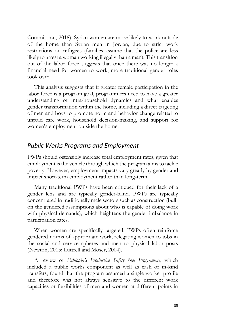Commission, 2018). Syrian women are more likely to work outside of the home than Syrian men in Jordan, due to strict work restrictions on refugees (families assume that the police are less likely to arrest a woman working illegally than a man). This transition out of the labor force suggests that once there was no longer a financial need for women to work, more traditional gender roles took over.

This analysis suggests that if greater female participation in the labor force is a program goal, programmers need to have a greater understanding of intra-household dynamics and what enables gender transformation within the home, including a direct targeting of men and boys to promote norm and behavior change related to unpaid care work, household decision-making, and support for women's employment outside the home.

#### *Public Works Programs and Employment*

PWPs should ostensibly increase total employment rates, given that employment is the vehicle through which the program aims to tackle poverty. However, employment impacts vary greatly by gender and impact short-term employment rather than long-term.

Many traditional PWPs have been critiqued for their lack of a gender lens and are typically gender-blind. PWPs are typically concentrated in traditionally male sectors such as construction (built on the gendered assumptions about who is capable of doing work with physical demands), which heightens the gender imbalance in participation rates.

When women are specifically targeted, PWPs often reinforce gendered norms of appropriate work, relegating women to jobs in the social and service spheres and men to physical labor posts (Newton, 2015; Luttrell and Moser, 2004).

A review of *Ethiopia's Productive Safety Net Programme*, which included a public works component as well as cash or in-kind transfers, found that the program assumed a single worker profile and therefore was not always sensitive to the different work capacities or flexibilities of men and women at different points in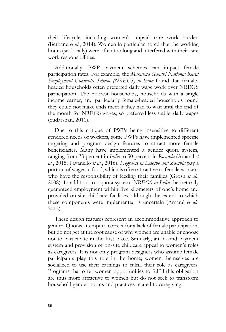their lifecycle, including women's unpaid care work burden (Berhane *et al.*, 2014). Women in particular noted that the working hours (set locally) were often too long and interfered with their care work responsibilities.

Additionally, PWP payment schemes can impact female participation rates. For example, the *Mahatma Gandhi National Rural Employment Guarantee Scheme (NREGS) in India* found that femaleheaded households often preferred daily wage work over NREGS participation. The poorest households, households with a single income earner, and particularly female-headed households found they could not make ends meet if they had to wait until the end of the month for NREGS wages, so preferred less stable, daily wages (Sudarshan, 2011).

Due to this critique of PWPs being insensitive to different gendered needs of workers, some PWPs have implemented specific targeting and program design features to attract more female beneficiaries. Many have implemented a gender quota system, ranging from 33 percent in *India* to 50 percent in *Rwanda* (Amaral *et al.*, 2015; Pavanello *et al.*, 2016). *Programs in Lesotho and Zambia* pay a portion of wages in food, which is often attractive to female workers who have the responsibility of feeding their families (Grosh *et al.*, 2008). In addition to a quota system, *NREGS in India* theoretically guaranteed employment within five kilometers of one's home and provided on-site childcare facilities, although the extent to which these components were implemented is uncertain (Amaral *et al.*, 2015).

These design features represent an accommodative approach to gender. Quotas attempt to correct for a lack of female participation, but do not get at the root cause of why women are unable or choose not to participate in the first place. Similarly, an in-kind payment system and provision of on-site childcare appeal to women's roles as caregivers. It is not only program designers who assume female participants play this role in the home; women themselves are socialized to use their earnings to fulfill their role as caregivers. Programs that offer women opportunities to fulfill this obligation are thus more attractive to women but do not seek to transform household gender norms and practices related to caregiving.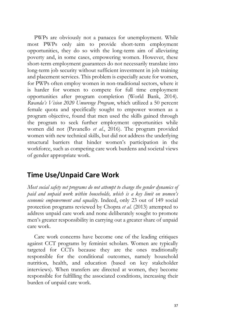PWPs are obviously not a panacea for unemployment. While most PWPs only aim to provide short-term employment opportunities, they do so with the long-term aim of alleviating poverty and, in some cases, empowering women. However, these short-term employment guarantees do not necessarily translate into long-term job security without sufficient investment in job training and placement services. This problem is especially acute for women, for PWPs often employ women in non-traditional sectors, where it is harder for women to compete for full time employment opportunities after program completion (World Bank, 2014). *Rwanda's Vision 2020 Umurenge Program*, which utilized a 50 percent female quota and specifically sought to empower women as a program objective, found that men used the skills gained through the program to seek further employment opportunities while women did not (Pavanello *et al.*, 2016). The program provided women with new technical skills, but did not address the underlying structural barriers that hinder women's participation in the workforce, such as competing care work burdens and societal views of gender appropriate work.

## **Time Use/Unpaid Care Work**

*Most social safety net programs do not attempt to change the gender dynamics of paid and unpaid work within households, which is a key limit on women's economic empowerment and equality*. Indeed, only 23 out of 149 social protection programs reviewed by Chopra *et al.* (2013) attempted to address unpaid care work and none deliberately sought to promote men's greater responsibility in carrying out a greater share of unpaid care work.

Care work concerns have become one of the leading critiques against CCT programs by feminist scholars. Women are typically targeted for CCTs because they are the ones traditionally responsible for the conditional outcomes, namely household nutrition, health, and education (based on key stakeholder interviews). When transfers are directed at women, they become responsible for fulfilling the associated conditions, increasing their burden of unpaid care work.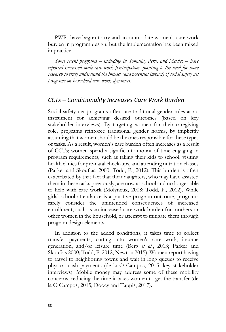PWPs have begun to try and accommodate women's care work burden in program design, but the implementation has been mixed in practice.

*Some recent programs – including in Somalia, Peru, and Mexico – have reported increased male care work participation, pointing to the need for more research to truly understand the impact (and potential impact) of social safety net programs on household care work dynamics.* 

#### *CCTs – Conditionality Increases Care Work Burden*

Social safety net programs often use traditional gender roles as an instrument for achieving desired outcomes (based on key stakeholder interviews). By targeting women for their caregiving role, programs reinforce traditional gender norms, by implicitly assuming that women should be the ones responsible for these types of tasks. As a result, women's care burden often increases as a result of CCTs; women spend a significant amount of time engaging in program requirements, such as taking their kids to school, visiting health clinics for pre-natal check-ups, and attending nutrition classes (Parker and Skoufias, 2000; Todd, P., 2012). This burden is often exacerbated by that fact that their daughters, who may have assisted them in these tasks previously, are now at school and no longer able to help with care work (Molyneux, 2008; Todd, P., 2012). While girls' school attendance is a positive program outcome, programs rarely consider the unintended consequences of increased enrollment, such as an increased care work burden for mothers or other women in the household, or attempt to mitigate them through program design elements.

In addition to the added conditions, it takes time to collect transfer payments, cutting into women's care work, income generation, and/or leisure time (Berg *et al.*, 2013; Parker and Skoufias 2000; Todd, P. 2012; Newton 2015). Women report having to travel to neighboring towns and wait in long queues to receive physical cash payments (de la O Campos, 2015; key stakeholder interviews). Mobile money may address some of these mobility concerns, reducing the time it takes women to get the transfer (de la O Campos, 2015; Doocy and Tappis, 2017).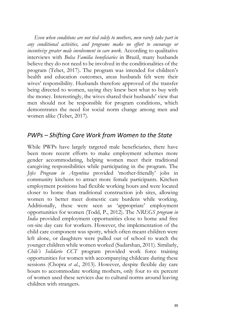*Even when conditions are not tied solely to mothers, men rarely take part in any conditional activities, and programs make no effort to encourage or incentivize greater male involvement in care work*. According to qualitative interviews with *Bolsa Familia beneficiaries* in Brazil, many husbands believe they do not need to be involved in the conditionalities of the program (Tebet, 2017). The program was intended for children's health and education outcomes, areas husbands felt were their wives' responsibility. Husbands therefore approved of the transfer being directed to women, saying they knew best what to buy with the money. Interestingly, the wives shared their husbands' view that men should not be responsible for program conditions, which demonstrates the need for social norm change among men and women alike (Tebet, 2017).

#### *PWPs – Shifting Care Work from Women to the State*

While PWPs have largely targeted male beneficiaries, there have been more recent efforts to make employment schemes more gender accommodating, helping women meet their traditional caregiving responsibilities while participating in the program. The *Jefes Program in Argentina* provided 'mother-friendly' jobs in community kitchens to attract more female participants. Kitchen employment positions had flexible working hours and were located closer to home than traditional construction job sites, allowing women to better meet domestic care burdens while working. Additionally, these were seen as 'appropriate' employment opportunities for women (Todd, P., 2012). The *NREGS program in India* provided employment opportunities close to home and free on-site day care for workers. However, the implementation of the child care component was spotty, which often meant children were left alone, or daughters were pulled out of school to watch the younger children while women worked (Sudarshan, 2011). Similarly, *Chile's Solidario CCT* program provided work force training opportunities for women with accompanying childcare during these sessions (Chopra *et al.*, 2013). However, despite flexible day care hours to accommodate working mothers, only four to six percent of women used these services due to cultural norms around leaving children with strangers.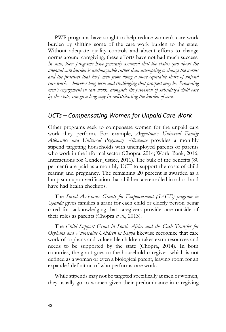PWP programs have sought to help reduce women's care work burden by shifting some of the care work burden to the state. Without adequate quality controls and absent efforts to change norms around caregiving, these efforts have not had much success. *In sum, these programs have generally assumed that the status quo about the unequal care burden is unchangeable rather than attempting to change the norms and the practices that keep men from doing a more equitable share of unpaid care work—however long-term and challenging that prospect may be. Promoting men's engagement in care work, alongside the provision of subsidized child care by the state, can go a long way in redistributing the burden of care.*

#### *UCTs – Compensating Women for Unpaid Care Work*

Other programs seek to compensate women for the unpaid care work they perform. For example, *Argentina's Universal Family Allowance and Universal Pregnancy Allowance* provides a monthly stipend targeting households with unemployed parents or parents who work in the informal sector (Chopra, 2014; World Bank, 2016; Interactions for Gender Justice, 2011). The bulk of the benefits (80 per cent) are paid as a monthly UCT to support the costs of child rearing and pregnancy. The remaining 20 percent is awarded as a lump sum upon verification that children are enrolled in school and have had health checkups.

The *Social Assistance Grants for Empowerment (SAGE) program in Uganda* gives families a grant for each child or elderly person being cared for, acknowledging that caregivers provide care outside of their roles as parents (Chopra *et al.*, 2013).

The *Child Support Grant in South Africa and the Cash Transfer for Orphans and Vulnerable Children in Kenya* likewise recognize that care work of orphans and vulnerable children takes extra resources and needs to be supported by the state (Chopra, 2014). In both countries, the grant goes to the household caregiver, which is not defined as a woman or even a biological parent, leaving room for an expanded definition of who performs care work.

While stipends may not be targeted specifically at men or women, they usually go to women given their predominance in caregiving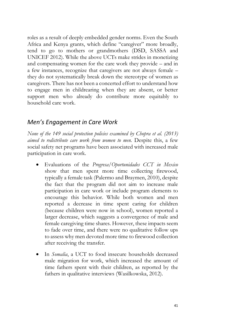roles as a result of deeply embedded gender norms. Even the South Africa and Kenya grants, which define "caregiver" more broadly, tend to go to mothers or grandmothers (DSD, SASSA and UNICEF 2012). While the above UCTs make strides in monetizing and compensating women for the care work they provide – and in a few instances, recognize that caregivers are not always female – they do not systematically break down the stereotype of women as caregivers. There has not been a concerted effort to understand how to engage men in childrearing when they are absent, or better support men who already do contribute more equitably to household care work.

## *Men's Engagement in Care Work*

*None of the 149 social protection policies examined by Chopra et al. (2013) aimed to redistribute care work from women to men.* Despite this, a few social safety net programs have been associated with increased male participation in care work.

- Evaluations of the *Progresa/Oportunidades CCT in Mexico* show that men spent more time collecting firewood, typically a female task (Palermo and Braymen, 2010), despite the fact that the program did not aim to increase male participation in care work or include program elements to encourage this behavior. While both women and men reported a decrease in time spent caring for children (because children were now in school), women reported a larger decrease, which suggests a convergence of male and female caregiving time shares. However, these impacts seem to fade over time, and there were no qualitative follow ups to assess why men devoted more time to firewood collection after receiving the transfer.
- In *Somalia*, a UCT to food insecure households decreased male migration for work, which increased the amount of time fathers spent with their children, as reported by the fathers in qualitative interviews (Wasilkowska, 2012).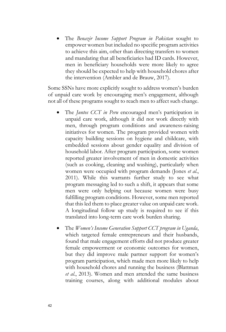• The *Benazir Income Support Program in Pakistan* sought to empower women but included no specific program activities to achieve this aim, other than directing transfers to women and mandating that all beneficiaries had ID cards. However, men in beneficiary households were more likely to agree they should be expected to help with household chores after the intervention (Ambler and de Brauw, 2017).

Some SSNs have more explicitly sought to address women's burden of unpaid care work by encouraging men's engagement, although not all of these programs sought to reach men to affect such change.

- The *Juntos CCT in Peru* encouraged men's participation in unpaid care work, although it did not work directly with men, through program conditions and awareness-raising initiatives for women. The program provided women with capacity building sessions on hygiene and childcare, with embedded sessions about gender equality and division of household labor. After program participation, some women reported greater involvement of men in domestic activities (such as cooking, cleaning and washing), particularly when women were occupied with program demands (Jones *et al*., 2011). While this warrants further study to see what program messaging led to such a shift, it appears that some men were only helping out because women were busy fulfilling program conditions. However, some men reported that this led them to place greater value on unpaid care work. A longitudinal follow up study is required to see if this translated into long-term care work burden sharing.
- The *Women's Income Generation Support CCT program in Uganda*, which targeted female entrepreneurs and their husbands, found that male engagement efforts did not produce greater female empowerment or economic outcomes for women, but they did improve male partner support for women's program participation, which made men more likely to help with household chores and running the business (Blattman *et al*., 2013). Women and men attended the same business training courses, along with additional modules about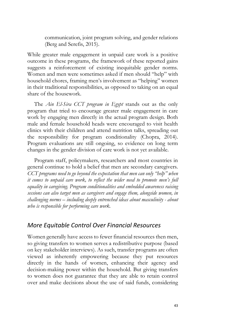communication, joint program solving, and gender relations (Berg and Serefis, 2015).

While greater male engagement in unpaid care work is a positive outcome in these programs, the framework of these reported gains suggests a reinforcement of existing inequitable gender norms. Women and men were sometimes asked if men should "help" with household chores, framing men's involvement as "helping" women in their traditional responsibilities, as opposed to taking on an equal share of the housework.

The *Ain El-Sira CCT program in Egypt* stands out as the only program that tried to encourage greater male engagement in care work by engaging men directly in the actual program design. Both male and female household heads were encouraged to visit health clinics with their children and attend nutrition talks, spreading out the responsibility for program conditionality (Chopra, 2014). Program evaluations are still ongoing, so evidence on long term changes in the gender division of care work is not yet available.

Program staff, policymakers, researchers and most countries in general continue to hold a belief that men are secondary caregivers. *CCT programs need to go beyond the expectation that men can only "help" when it comes to unpaid care work, to reflect the wider need to promote men's full equality in caregiving. Program conditionalities and embedded awareness raising sessions can also target men as caregivers and engage them, alongside women, in challenging norms – including deeply entrenched ideas about masculinity - about who is responsible for performing care work.*

#### *More Equitable Control Over Financial Resources*

Women generally have access to fewer financial resources then men, so giving transfers to women serves a redistributive purpose (based on key stakeholder interviews). As such, transfer programs are often viewed as inherently empowering because they put resources directly in the hands of women, enhancing their agency and decision-making power within the household. But giving transfers to women does not guarantee that they are able to retain control over and make decisions about the use of said funds, considering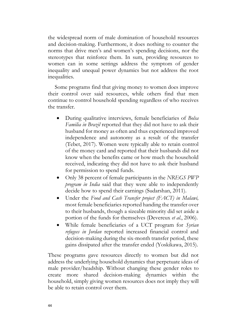the widespread norm of male domination of household resources and decision-making. Furthermore, it does nothing to counter the norms that drive men's and women's spending decisions, nor the stereotypes that reinforce them. In sum, providing resources to women can in some settings address the symptom of gender inequality and unequal power dynamics but not address the root inequalities.

Some programs find that giving money to women does improve their control over said resources, while others find that men continue to control household spending regardless of who receives the transfer.

- During qualitative interviews, female beneficiaries of *Bolsa Familia in Brazil* reported that they did not have to ask their husband for money as often and thus experienced improved independence and autonomy as a result of the transfer (Tebet, 2017). Women were typically able to retain control of the money card and reported that their husbands did not know when the benefits came or how much the household received, indicating they did not have to ask their husband for permission to spend funds.
- Only 38 percent of female participants in the *NREGS PWP program in India* said that they were able to independently decide how to spend their earnings (Sudarshan, 2011).
- Under the *Food and Cash Transfer project (FACT) in Malawi,* most female beneficiaries reported handing the transfer over to their husbands, though a sizeable minority did set aside a portion of the funds for themselves (Devereux *et al.*, 2006).
- While female beneficiaries of a UCT program for *Syrian refugees in Jordan* reported increased financial control and decision-making during the six-month transfer period, these gains dissipated after the transfer ended (Yoskikawa, 2015).

These programs gave resources directly to women but did not address the underlying household dynamics that perpetuate ideas of male provider/headship. Without changing these gender roles to create more shared decision-making dynamics within the household, simply giving women resources does not imply they will be able to retain control over them.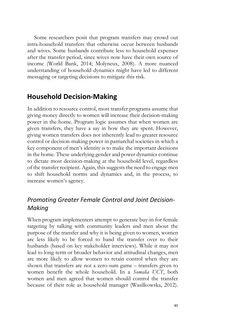Some researchers posit that program transfers may crowd out intra-household transfers that otherwise occur between husbands and wives. Some husbands contribute less to household expenses after the transfer period, since wives now have their own source of income (World Bank, 2014; Molyneux, 2008). A more nuanced understanding of household dynamics might have led to different messaging or targeting decisions to mitigate this risk.

## **Household Decision-Making**

In addition to resource control, most transfer programs assume that giving money directly to women will increase their decision-making power in the home. Program logic assumes that when women are given transfers, they have a say in how they are spent. However, giving women transfers does not inherently lead to greater resource control or decision-making power in patriarchal societies in which a key component of men's identity is to make the important decisions in the home. These underlying gender and power dynamics continue to dictate most decision-making at the household level, regardless of the transfer recipient. Again, this suggests the need to engage men to shift household norms and dynamics and, in the process, to increase women's agency.

## *Promoting Greater Female Control and Joint Decision-Making*

When program implementers attempt to generate buy-in for female targeting by talking with community leaders and men about the purpose of the transfer and why it is being given to women, women are less likely to be forced to hand the transfer over to their husbands (based on key stakeholder interviews). While it may not lead to long-term or broader behavior and attitudinal changes, men are more likely to allow women to retain control when they are shown that transfers are not a zero-sum game – transfers given to women benefit the whole household. In a *Somalia UCT*, both women and men agreed that women should control the transfer because of their role as household manager (Wasilkowska, 2012).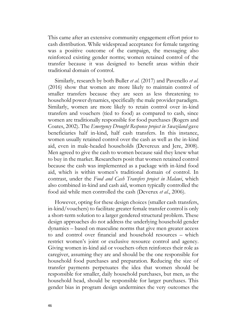This came after an extensive community engagement effort prior to cash distribution. While widespread acceptance for female targeting was a positive outcome of the campaign, the messaging also reinforced existing gender norms; women retained control of the transfer because it was designed to benefit areas within their traditional domain of control.

Similarly, research by both Buller *et al.* (2017) and Pavenello *et al.* (2016) show that women are more likely to maintain control of smaller transfers because they are seen as less threatening to household power dynamics, specifically the male provider paradigm. Similarly, women are more likely to retain control over in-kind transfers and vouchers (tied to food) as compared to cash, since women are traditionally responsible for food purchases (Rogers and Coates, 2002). The *Emergency Drought Response project in Swaziland* gave beneficiaries half in-kind, half cash transfers. In this instance, women usually retained control over the cash as well as the in-kind aid, even in male-headed households (Devereux and Jere, 2008). Men agreed to give the cash to women because said they knew what to buy in the market. Researchers posit that women retained control because the cash was implemented as a package with in-kind food aid, which is within women's traditional domain of control. In contrast, under the *Food and Cash Transfers project in Malawi*, which also combined in-kind and cash aid, women typically controlled the food aid while men controlled the cash (Deverux *et al.*, 2006).

However, opting for these design choices (smaller cash transfers, in-kind/vouchers) to facilitate greater female transfer control is only a short-term solution to a larger gendered structural problem. These design approaches do not address the underlying household gender dynamics – based on masculine norms that give men greater access to and control over financial and household resources – which restrict women's joint or exclusive resource control and agency. Giving women in-kind aid or vouchers often reinforces their role as caregiver, assuming they are and should be the one responsible for household food purchases and preparation. Reducing the size of transfer payments perpetuates the idea that women should be responsible for smaller, daily household purchases, but men, as the household head, should be responsible for larger purchases. This gender bias in program design undermines the very outcomes the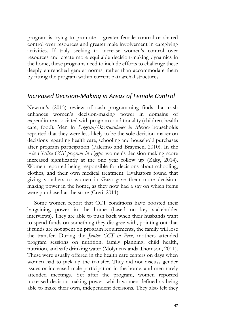program is trying to promote – greater female control or shared control over resources and greater male involvement in caregiving activities. If truly seeking to increase women's control over resources and create more equitable decision-making dynamics in the home, these programs need to include efforts to challenge these deeply entrenched gender norms, rather than accommodate them by fitting the program within current patriarchal structures.

#### *Increased Decision-Making in Areas of Female Control*

Newton's (2015) review of cash programming finds that cash enhances women's decision-making power in domains of expenditure associated with program conditionality (children, health care, food). Men in *Progresa/Oportunidades in Mexico* households reported that they were less likely to be the sole decision-maker on decisions regarding health care, schooling and household purchases after program participation (Palermo and Braymen, 2010). In the *Ain El-Sira CCT program in Egypt*, women's decision-making score increased significantly at the one year follow up (Zaky, 2014). Women reported being responsible for decisions about schooling, clothes, and their own medical treatment. Evaluators found that giving vouchers to women in Gaza gave them more decisionmaking power in the home, as they now had a say on which items were purchased at the store (Creti, 2011).

Some women report that CCT conditions have boosted their bargaining power in the home (based on key stakeholder interviews). They are able to push back when their husbands want to spend funds on something they disagree with, pointing out that if funds are not spent on program requirements, the family will lose the transfer. During the *Juntos CCT in Peru*, mothers attended program sessions on nutrition, family planning, child health, nutrition, and safe drinking water (Molyneux anda Thomson, 2011). These were usually offered in the health care centers on days when women had to pick up the transfer. They did not discuss gender issues or increased male participation in the home, and men rarely attended meetings. Yet after the program, women reported increased decision-making power, which women defined as being able to make their own, independent decisions. They also felt they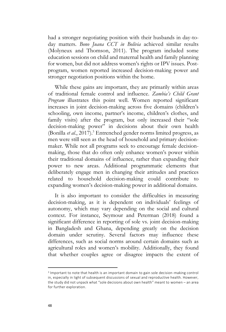had a stronger negotiating position with their husbands in day-today matters. *Bono Juana CCT in Bolivia* achieved similar results (Molyneux and Thomson, 2011). The program included some education sessions on child and maternal health and family planning for women, but did not address women's rights or IPV issues. Postprogram, women reported increased decision-making power and stronger negotiation positions within the home.

While these gains are important, they are primarily within areas of traditional female control and influence. *Zambia's Child Grant Program* illustrates this point well. Women reported significant increases in joint decision-making across five domains (children's schooling, own income, partner's income, children's clothes, and family visits) after the program, but only increased their "sole decision-making power" in decisions about their own health (Bonilla *et al.*, 2017).<sup>3</sup> Entrenched gender norms limited progress, as men were still seen as the head of household and primary decisionmaker. While not all programs seek to encourage female decisionmaking, those that do often only enhance women's power within their traditional domains of influence, rather than expanding their power to new areas. Additional programmatic elements that deliberately engage men in changing their attitudes and practices related to household decision-making could contribute to expanding women's decision-making power in additional domains.

It is also important to consider the difficulties in measuring decision-making, as it is dependent on individuals' feelings of autonomy, which may vary depending on the social and cultural context. For instance, Seymour and Peterman (2018) found a significant difference in reporting of sole vs. joint decision-making in Bangladesh and Ghana, depending greatly on the decision domain under scrutiny. Several factors may influence these differences, such as social norms around certain domains such as agricultural roles and women's mobility. Additionally, they found that whether couples agree or disagree impacts the extent of

 $\overline{a}$ 

<sup>3</sup> Important to note that health is an important domain to gain sole decision-making control in, especially in light of subsequent discussions of sexual and reproductive health. However, the study did not unpack what "sole decisions about own health" meant to women – an area for further exploration.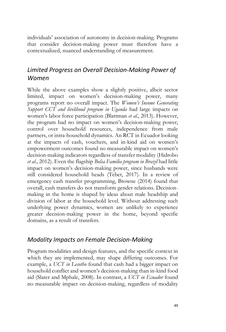individuals' association of autonomy in decision-making. Programs that consider decision-making power must therefore have a contextualized, nuanced understanding of measurement.

## *Limited Progress on Overall Decision-Making Power of Women*

While the above examples show a slightly positive, albeit sector limited, impact on women's decision-making power, many programs report no overall impact. The *Women's Income Generating Support CCT and livelihood program in Uganda* had large impacts on women's labor force participation (Blattman *et al.*, 2013). However, the program had no impact on women's decision-making power, control over household resources, independence from male partners, or intra-household dynamics. An RCT in Ecuador looking at the impacts of cash, vouchers, and in-kind aid on women's empowerment outcomes found no measurable impact on women's decision-making indicators regardless of transfer modality (Hidrobo *et al.*, 2012). Even the flagship *Bolsa Familia program in Brazil* had little impact on women's decision-making power, since husbands were still considered household heads (Tebet, 2017). In a review of emergency cash transfer programming, Browne (2014) found that overall, cash transfers do not transform gender relations. Decisionmaking in the home is shaped by ideas about male headship and division of labor at the household level. Without addressing such underlying power dynamics, women are unlikely to experience greater decision-making power in the home, beyond specific domains, as a result of transfers.

### *Modality Impacts on Female Decision-Making*

Program modalities and design features, and the specific context in which they are implemented, may shape differing outcomes. For example, a *UCT in Lesotho* found that cash had a bigger impact on household conflict and women's decision-making than in-kind food aid (Slater and Mphale, 2008). In contrast, a *UCT in Ecuador* found no measurable impact on decision-making, regardless of modality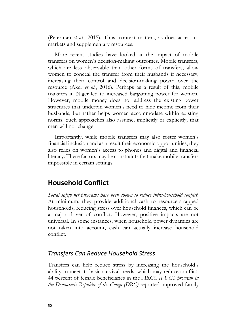(Peterman *et al.*, 2015). Thus, context matters, as does access to markets and supplementary resources.

More recent studies have looked at the impact of mobile transfers on women's decision-making outcomes. Mobile transfers, which are less observable than other forms of transfers, allow women to conceal the transfer from their husbands if necessary, increasing their control and decision-making power over the resource (Aker *et al.*, 2016). Perhaps as a result of this, mobile transfers in Niger led to increased bargaining power for women. However, mobile money does not address the existing power structures that underpin women's need to hide income from their husbands, but rather helps women accommodate within existing norms. Such approaches also assume, implicitly or explicitly, that men will not change.

Importantly, while mobile transfers may also foster women's financial inclusion and as a result their economic opportunities, they also relies on women's access to phones and digital and financial literacy. These factors may be constraints that make mobile transfers impossible in certain settings.

## **Household Conflict**

*Social safety net programs have been shown to reduce intra-household conflict*. At minimum, they provide additional cash to resource-strapped households, reducing stress over household finances, which can be a major driver of conflict. However, positive impacts are not universal. In some instances, when household power dynamics are not taken into account, cash can actually increase household conflict.

#### *Transfers Can Reduce Household Stress*

Transfers can help reduce stress by increasing the household's ability to meet its basic survival needs, which may reduce conflict. 44 percent of female beneficiaries in the *ARCC II UCT program in the Democratic Republic of the Congo (DRC)* reported improved family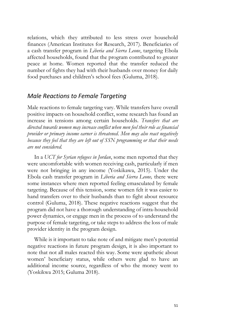relations, which they attributed to less stress over household finances (American Institutes for Research, 2017). Beneficiaries of a cash transfer program in *Liberia and Sierra Leone*, targeting Ebola affected households, found that the program contributed to greater peace at home. Women reported that the transfer reduced the number of fights they had with their husbands over money for daily food purchases and children's school fees (Guluma, 2018).

#### *Male Reactions to Female Targeting*

Male reactions to female targeting vary. While transfers have overall positive impacts on household conflict, some research has found an increase in tensions among certain households. *Transfers that are directed towards women may increase conflict when men feel their role as financial provider or primary income earner is threatened*. *Men may also react negatively because they feel that they are left out of SSN programming or that their needs are not considered.*

In a *UCT for Syrian refugees in Jordan*, some men reported that they were uncomfortable with women receiving cash, particularly if men were not bringing in any income (Yoskikawa, 2015). Under the Ebola cash transfer program in *Liberia and Sierra Leone,* there were some instances where men reported feeling emasculated by female targeting. Because of this tension, some women felt it was easier to hand transfers over to their husbands than to fight about resource control (Guluma, 2018). These negative reactions suggest that the program did not have a thorough understanding of intra-household power dynamics, or engage men in the process of to understand the purpose of female targeting, or take steps to address the loss of male provider identity in the program design.

While is it important to take note of and mitigate men's potential negative reactions in future program design, it is also important to note that not all males reacted this way. Some were apathetic about women' beneficiary status, while others were glad to have an additional income source, regardless of who the money went to (Yoskikwa 2015; Guluma 2018).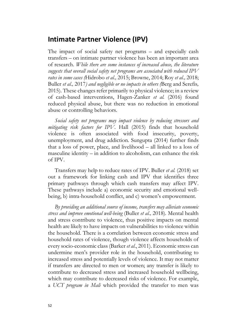## **Intimate Partner Violence (IPV)**

The impact of social safety net programs – and especially cash transfers – on intimate partner violence has been an important area of research. *While there are some instances of increased abuse, the literature suggests that overall social safety net programs are associated with reduced IPV rates in some cases (*Hidrobo *et al.,* 2015; Browne, 2014; Roy *et al.,* 2018; Buller *et al.,* 2017*) and negligible or no impacts in others (*Berg and Serefis*,*  2015). These changes refer primarily to physical violence; in a review of cash-based interventions, Hagen-Zanker *et al.* (2016) found reduced physical abuse, but there was no reduction in emotional abuse or controlling behaviors.

*Social safety net programs may impact violence by reducing stressors and mitigating risk factors for IPV*. Hall (2015) finds that household violence is often associated with food insecurity, poverty, unemployment, and drug addiction. Sungupta (2014) further finds that a loss of power, place, and livelihood – all linked to a loss of masculine identity – in addition to alcoholism, can enhance the risk of IPV.

Transfers may help to reduce rates of IPV. Buller *et al.* (2018) set out a framework for linking cash and IPV that identifies three primary pathways through which cash transfers may affect IPV. These pathways include a) economic security and emotional wellbeing, b) intra-household conflict, and c) women's empowerment.

*By providing an additional source of income, transfers may alleviate economic stress and improve emotional well-being* (Buller *et al.,* 2018)*.* Mental health and stress contribute to violence, thus positive impacts on mental health are likely to have impacts on vulnerabilities to violence within the household. There is a correlation between economic stress and household rates of violence, though violence affects households of every socio-economic class (Barker *et al*., 2011). Economic stress can undermine men's provider role in the household, contributing to increased stress and potentially levels of violence. It may not matter if transfers are directed to men or women; any transfer is likely to contribute to decreased stress and increased household wellbeing, which may contribute to decreased risks of violence. For example, a *UCT program in Mali* which provided the transfer to men was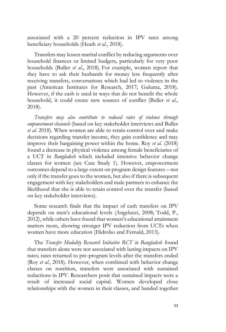associated with a 20 percent reduction in IPV rates among beneficiary households (Heath *et al.*, 2018).

Transfers may lessen marital conflict by reducing arguments over household finances or limited budgets, particularly for very poor households (Buller *et al*., 2018). For example, women report that they have to ask their husbands for money less frequently after receiving transfers, conversations which had led to violence in the past (American Institutes for Research, 2017; Guluma, 2018). However, if the cash is used in ways that do not benefit the whole household, it could create new sources of conflict (Buller *et al*., 2018).

*Transfers may also contribute to reduced rates of violence through empowerment channels* (based on key stakeholder interviews and Buller *et al*. 2018). When women are able to retain control over and make decisions regarding transfer income, they gain confidence and may improve their bargaining power within the home. Roy *et al.* (2018) found a decrease in physical violence among female beneficiaries of a UCT in *Bangladesh* which included intensive behavior change classes for women (see Case Study 1). However, empowerment outcomes depend to a large extent on program design features – not only if the transfer goes to the women, but also if there is subsequent engagement with key stakeholders and male partners to enhance the likelihood that she is able to retain control over the transfer (based on key stakeholder interviews).

Some research finds that the impact of cash transfers on IPV depends on men's educational levels (Angelucci, 2008; Todd, P., 2012), while others have found that women's educational attainment matters more, showing stronger IPV reduction from UCTs when women have more education (Hidrobo and Fernald, 2013).

The *Transfer Modality Research Initiative RCT in Bangladesh* found that transfers alone were not associated with lasting impacts on IPV rates; rates returned to pre-program levels after the transfers ended (Roy *et al.*, 2018). However, when combined with behavior change classes on nutrition, transfers were associated with sustained reductions in IPV. Researchers posit that sustained impacts were a result of increased social capital. Women developed close relationships with the women in their classes, and banded together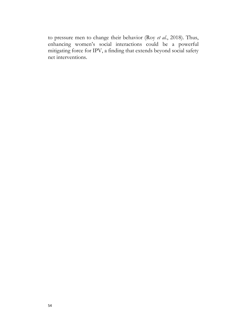to pressure men to change their behavior (Roy *et al.*, 2018). Thus, enhancing women's social interactions could be a powerful mitigating force for IPV, a finding that extends beyond social safety net interventions.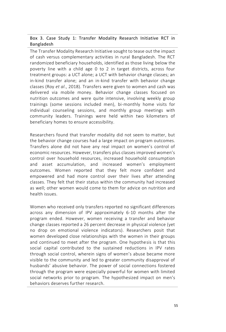#### Box 3. Case Study 1: Transfer Modality Research Initiative RCT in Bangladesh

The Transfer Modality Research Initiative sought to tease out the impact of cash versus complementary activities in rural Bangladesh. The RCT randomized beneficiary households, identified as those living below the poverty line with a child age 0 to 2 in target districts, across four treatment groups: a UCT alone; a UCT with behavior change classes; an in-kind transfer alone; and an in-kind transfer with behavior change classes (Roy *et al*., 2018). Transfers were given to women and cash was delivered via mobile money. Behavior change classes focused on nutrition outcomes and were quite intensive, involving weekly group trainings (some sessions included men), bi-monthly home visits for individual counseling sessions, and monthly group meetings with community leaders. Trainings were held within two kilometers of beneficiary homes to ensure accessibility.

Researchers found that transfer modality did not seem to matter, but the behavior change courses had a large impact on program outcomes. Transfers alone did not have any real impact on women's control of economic resources. However, transfers plus classes improved women's control over household resources, increased household consumption and asset accumulation, and increased women's employment outcomes. Women reported that they felt more confident and empowered and had more control over their lives after attending classes. They felt that their status within the community had increased as well; other women would come to them for advice on nutrition and health issues.

Women who received only transfers reported no significant differences across any dimension of IPV approximately 6-10 months after the program ended. However, women receiving a transfer and behavior change classes reported a 26 percent decrease in physical violence (yet no drop on emotional violence indicators). Researchers posit that women developed close relationships with the women in their groups and continued to meet after the program. One hypothesis is that this social capital contributed to the sustained reductions in IPV rates through social control, wherein signs of women's abuse became more visible to the community and led to greater community disapproval of husbands' abusive behavior. The power of social connections fostered through the program were especially powerful for women with limited social networks prior to program. The hypothesized impact on men's behaviors deserves further research.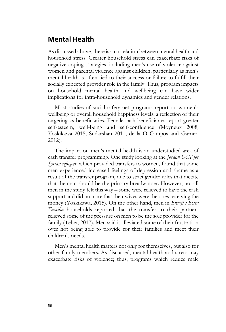## **Mental Health**

As discussed above, there is a correlation between mental health and household stress. Greater household stress can exacerbate risks of negative coping strategies, including men's use of violence against women and parental violence against children, particularly as men's mental health is often tied to their success or failure to fulfill their socially expected provider role in the family. Thus, program impacts on household mental health and wellbeing can have wider implications for intra-household dynamics and gender relations.

Most studies of social safety net programs report on women's wellbeing or overall household happiness levels, a reflection of their targeting as beneficiaries. Female cash beneficiaries report greater self-esteem, well-being and self-confidence (Moyneux 2008; Yoskikawa 2015; Sudarshan 2011; de la O Campos and Garner, 2012).

The impact on men's mental health is an understudied area of cash transfer programming. One study looking at the *Jordan UCT for Syrian refugees,* which provided transfers to women, found that some men experienced increased feelings of depression and shame as a result of the transfer program, due to strict gender roles that dictate that the man should be the primary breadwinner. However, not all men in the study felt this way – some were relieved to have the cash support and did not care that their wives were the ones receiving the money (Yoskikawa, 2015). On the other hand, men in *Brazil's Bolsa Familia* households reported that the transfer to their partners relieved some of the pressure on men to be the sole provider for the family (Tebet, 2017). Men said it alleviated some of their frustration over not being able to provide for their families and meet their children's needs.

Men's mental health matters not only for themselves, but also for other family members. As discussed, mental health and stress may exacerbate risks of violence; thus, programs which reduce male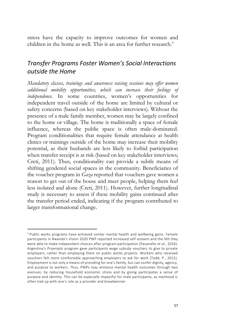stress have the capacity to improve outcomes for women and children in the home as well. This is an area for further research.<sup>4</sup>

## *Transfer Programs Foster Women's Social Interactions outside the Home*

*Mandatory classes, trainings and awareness raising sessions may offer women additional mobility opportunities, which can increase their feelings of independence*. In some countries, women's opportunities for independent travel outside of the home are limited by cultural or safety concerns (based on key stakeholder interviews). Without the presence of a male family member, women may be largely confined to the home or village. The home is traditionally a space of female influence, whereas the public space is often male-dominated. Program conditionalities that require female attendance at health clinics or trainings outside of the home may increase their mobility potential, as their husbands are less likely to forbid participation when transfer receipt is at risk (based on key stakeholder interviews; Creti, 2011). Thus, conditionality can provide a subtle means of shifting gendered social spaces in the community. Beneficiaries of the voucher program in *Gaza* reported that vouchers gave women a reason to get out of the house and meet people, helping them feel less isolated and alone (Creti, 2011). However, further longitudinal study is necessary to assess if these mobility gains continued after the transfer period ended, indicating if the program contributed to larger transformational change.

 $\overline{a}$ 

<sup>4</sup> Public works programs have achieved similar mental health and wellbeing gains. Female participants in Rwanda's Vision 2020 PWP reported increased self-esteem and the felt they were able to make independent choices after program participation (Pavanello *et al.*, 2016). Argentina's Proemplo program gave participants wage subsidy vouchers to give to private employers, rather than employing them on public works projects. Workers who received vouchers felt more comfortable approaching employers to ask for work (Todd, P., 2012). Employment is not only a means of providing for one's family, but can confer dignity, agency, and purpose to workers. Thus, PWPs may enhance mental health outcomes through two avenues: by reducing household economic stress and by giving participates a sense of purpose and identity. This can be especially impactful for male participants, as manhood is often tied up with one's role as a provider and breadwinner.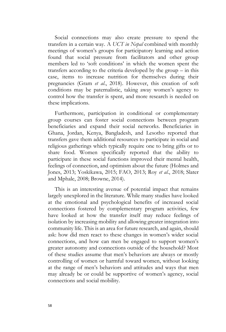Social connections may also create pressure to spend the transfers in a certain way. A *UCT in Nepal* combined with monthly meetings of women's groups for participatory learning and action found that social pressure from facilitators and other group members led to 'soft conditions' in which the women spent the transfers according to the criteria developed by the group – in this case, items to increase nutrition for themselves during their pregnancies (Gram *et al*., 2018). However, this creation of soft conditions may be paternalistic, taking away women's agency to control how the transfer is spent, and more research is needed on these implications.

Furthermore, participation in conditional or complementary group courses can foster social connections between program beneficiaries and expand their social networks. Beneficiaries in Ghana, Jordan, Kenya, Bangladesh, and Lesotho reported that transfers gave them additional resources to participate in social and religious gatherings which typically require one to bring gifts or to share food. Women specifically reported that the ability to participate in these social functions improved their mental health, feelings of connection, and optimism about the future (Holmes and Jones, 2013; Yoskikawa, 2015; FAO, 2013; Roy *et al*., 2018; Slater and Mphale, 2008; Browne, 2014).

This is an interesting avenue of potential impact that remains largely unexplored in the literature. While many studies have looked at the emotional and psychological benefits of increased social connections fostered by complementary program activities, few have looked at how the transfer itself may reduce feelings of isolation by increasing mobility and allowing greater integration into community life. This is an area for future research, and again, should ask: how did men react to these changes in women's wider social connections, and how can men be engaged to support women's greater autonomy and connections outside of the household? Most of these studies assume that men's behaviors are always or mostly controlling of women or harmful toward women, without looking at the range of men's behaviors and attitudes and ways that men may already be or could be supportive of women's agency, social connections and social mobility.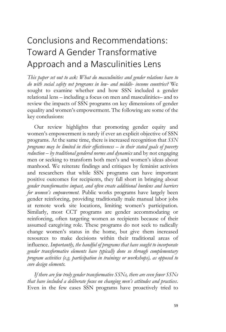# Conclusions and Recommendations: Toward A Gender Transformative Approach and a Masculinities Lens

*This paper set out to ask: What do masculinities and gender relations have to do with social safety net programs in low- and middle- income countries?* We sought to examine whether and how SSN included a gender relational lens – including a focus on men and masculinities– and to review the impacts of SSN programs on key dimensions of gender equality and women's empowerment. The following are some of the key conclusions:

Our review highlights that promoting gender equity and women's empowerment is rarely if ever an explicit objective of SSN programs. At the same time, there is increased recognition that *SSN programs may be limited in their effectiveness – in their stated goals of poverty reduction – by traditional gendered norms and dynamics* and by not engaging men or seeking to transform both men's and women's ideas about manhood. We reiterate findings and critiques by feminist activists and researchers that while SSN programs can have important positive outcomes for recipients, they fall short in bringing about *gender transformative impact, and often create additional burdens and barriers for women's empowerment*. Public works programs have largely been gender reinforcing, providing traditionally male manual labor jobs at remote work site locations, limiting women's participation. Similarly, most CCT programs are gender accommodating or reinforcing, often targeting women as recipients because of their assumed caregiving role. These programs do not seek to radically change women's status in the home, but give them increased resources to make decisions within their traditional areas of influence. *Importantly, the handful of programs that have sought to incorporate gender transformative elements have typically done so through complementary program activities (e.g. participation in trainings or workshops), as opposed to core design elements.*

*If there are few truly gender transformative SSNs, there are even fewer SSNs that have included a deliberate focus on changing men's attitudes and practices*. Even in the few cases SSN programs have proactively tried to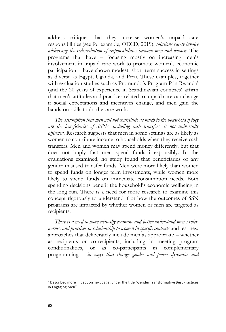address critiques that they increase women's unpaid care responsibilities (see for example, OECD, 2019), *solutions rarely involve addressing the redistribution of responsibilities between men and women.* The programs that have – focusing mostly on increasing men's involvement in unpaid care work to promote women's economic participation – have shown modest, short-term success in settings as diverse as Egypt, Uganda, and Peru. These examples, together with evaluation studies such as Promundo's Program P in Rwanda<sup>5</sup> (and the 20 years of experience in Scandinavian countries) affirm that men's attitudes and practices related to unpaid care can change if social expectations and incentives change, and men gain the hands-on skills to do the care work.

*The assumption that men will not contribute as much to the household if they are the beneficiaries of SSNs, including cash transfers, is not universally affirmed.* Research suggests that men in some settings are as likely as women to contribute income to households when they receive cash transfers. Men and women may spend money differently, but that does not imply that men spend funds irresponsibly. In the evaluations examined, no study found that beneficiaries of any gender misused transfer funds. Men were more likely than women to spend funds on longer term investments, while women more likely to spend funds on immediate consumption needs. Both spending decisions benefit the household's economic wellbeing in the long run. There is a need for more research to examine this concept rigorously to understand if or how the outcomes of SSN programs are impacted by whether women or men are targeted as recipients.

*There is a need to more critically examine and better understand men's roles, norms, and practices in relationship to women in specific contexts* and test new approaches that deliberately include men as appropriate – whether as recipients or co-recipients, including in meeting program conditionalities, or as co-participants in complementary programming *– in ways that change gender and power dynamics and* 

 $\overline{a}$ 

<sup>5</sup> Described more in debt on next page, under the title "Gender Transformative Best Practices in Engaging Men"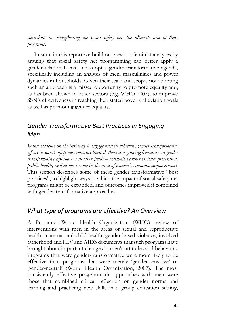*contribute to strengthening the social safety net, the ultimate aim of these programs***.** 

In sum, in this report we build on previous feminist analyses by arguing that social safety net programming can better apply a gender-relational lens, and adopt a gender transformative agenda, specifically including an analysis of men, masculinities and power dynamics in households. Given their scale and scope, not adopting such an approach is a missed opportunity to promote equality and, as has been shown in other sectors (e.g. WHO 2007), to improve SSN's effectiveness in reaching their stated poverty alleviation goals as well as promoting gender equality.

## *Gender Transformative Best Practices in Engaging Men*

*While evidence on the best way to engage men in achieving gender transformative effects in social safety nets remains limited, there is a growing literature on gender transformative approaches in other fields – intimate partner violence prevention, public health, and at least some in the area of women's economic empowerment.* This section describes some of these gender transformative "best practices", to highlight ways in which the impact of social safety net programs might be expanded, and outcomes improved if combined with gender-transformative approaches.

## *What type of programs are effective? An Overview*

A Promundo-World Health Organization (WHO) review of interventions with men in the areas of sexual and reproductive health, maternal and child health, gender-based violence, involved fatherhood and HIV and AIDS documents that such programs have brought about important changes in men's attitudes and behaviors. Programs that were gender-transformative were more likely to be effective than programs that were merely 'gender-sensitive' or 'gender-neutral' (World Health Organization, 2007). The most consistently effective programmatic approaches with men were those that combined critical reflection on gender norms and learning and practicing new skills in a group education setting,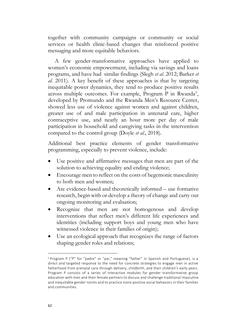together with community campaigns or community or social services or health clinic-based changes that reinforced positive messaging and more equitable behaviors.

A few gender-transformative approaches have applied to women's economic empowerment, including via savings and loans programs, and have had similar findings (Slegh *et al*. 2012; Barker *et al*. 2011). A key benefit of these approaches is that by targeting inequitable power dynamics, they tend to produce positive results across multiple outcomes. For example, Program P in Rwanda<sup>6</sup>, developed by Promundo and the Rwanda Men's Resource Center, showed less use of violence against women and against children, greater use of and male participation in antenatal care, higher contraceptive use, and nearly an hour more per day of male participation in household and caregiving tasks in the intervention compared to the control group (Doyle *et al*., 2018).

Additional best practice elements of gender transformative programming, especially to prevent violence, include:

- Use positive and affirmative messages that men are part of the solution to achieving equality and ending violence;
- Encourage men to reflect on the costs of hegemonic masculinity to both men and women;
- Are evidence-based and theoretically informed use formative research, begin with or develop a theory of change and carry out ongoing monitoring and evaluation;
- Recognize that men are not homogenous and develop interventions that reflect men's different life experiences and identities (including support boys and young men who have witnessed violence in their families of origin);
- Use an ecological approach that recognizes the range of factors shaping gender roles and relations;

 $\overline{a}$ 

<sup>6</sup> Program P ("P" for "padre" or "pai," meaning "father" in Spanish and Portuguese), is a direct and targeted response to the need for concrete strategies to engage men in active fatherhood from prenatal care through delivery, childbirth, and their children's early years. Program P consists of a series of interactive modules for gender transformative group education with men and their female partners to discuss and challenge traditiona l masculine and inequitable gender norms and to practice more positive social behaviors in their families and communities.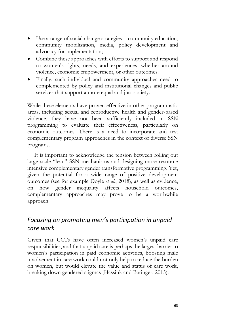- Use a range of social change strategies community education, community mobilization, media, policy development and advocacy for implementation;
- Combine these approaches with efforts to support and respond to women's rights, needs, and experiences, whether around violence, economic empowerment, or other outcomes.
- Finally, such individual and community approaches need to complemented by policy and institutional changes and public services that support a more equal and just society.

While these elements have proven effective in other programmatic areas, including sexual and reproductive health and gender-based violence, they have not been sufficiently included in SSN programming to evaluate their effectiveness, particularly on economic outcomes. There is a need to incorporate and test complementary program approaches in the context of diverse SSN programs.

It is important to acknowledge the tension between rolling out large scale "lean" SSN mechanisms and designing more resource intensive complementary gender transformative programming. Yet, given the potential for a wide range of positive development outcomes (see for example Doyle *et al*., 2018), as well as evidence, on how gender inequality affects household outcomes, complementary approaches may prove to be a worthwhile approach.

## *Focusing on promoting men's participation in unpaid care work*

Given that CCTs have often increased women's unpaid care responsibilities, and that unpaid care is perhaps the largest barrier to women's participation in paid economic activities, boosting male involvement in care work could not only help to reduce the burden on women, but would elevate the value and status of care work, breaking down gendered stigmas (Hassink and Baringer, 2015).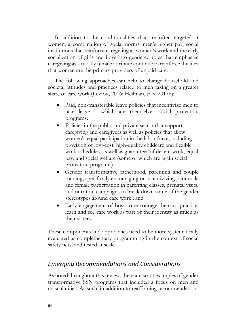In addition to the conditionalities that are often targeted at women, a combination of social norms, men's higher pay, social institutions that reinforce caregiving as women's work and the early socialization of girls and boys into gendered roles that emphasize caregiving as a mostly female attribute continue to reinforce the idea that women are the primary providers of unpaid care.

The following approaches can help to change household and societal attitudes and practices related to men taking on a greater share of care work (Levtov, 2016; Heilman, *et al*. 2017b):

- Paid, non-transferable leave policies that incentivize men to take leave – which are themselves social protection programs;
- Policies in the public and private sector that support caregiving and caregivers as well as policies that allow women's equal participation in the labor force, including provision of low-cost, high-quality childcare and flexible work schedules, as well as guarantees of decent work, equal pay, and social welfare (some of which are again social protection programs)
- Gender transformative fatherhood, parenting and couple training, specifically encouraging or incentivizing joint male and female participation in parenting classes, prenatal visits, and nutrition campaigns to break down some of the gender stereotypes around care work.; and
- Early engagement of boys to encourage them to practice, learn and see care work as part of their identity as much as their sisters.

These components and approaches need to be more systematically evaluated as complementary programming in the context of social safety nets, and tested at scale.

#### *Emerging Recommendations and Considerations*

As noted throughout this review, there are scant examples of gender transformative SSN programs that included a focus on men and masculinities. As such, in addition to reaffirming recommendations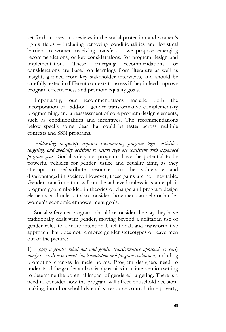set forth in previous reviews in the social protection and women's rights fields – including removing conditionalities and logistical barriers to women receiving transfers – we propose emerging recommendations, or key considerations, for program design and implementation. These emerging recommendations or considerations are based on learnings from literature as well as insights gleaned from key stakeholder interviews, and should be carefully tested in different contexts to assess if they indeed improve program effectiveness and promote equality goals.

Importantly, our recommendations include both the incorporation of "add-on" gender transformative complementary programming, and a reassessment of core program design elements, such as conditionalities and incentives. The recommendations below specify some ideas that could be tested across multiple contexts and SSN programs.

*Addressing inequality requires reexamining program logic, activities, targeting, and modality decisions to ensure they are consistent with expanded program goals*. Social safety net programs have the potential to be powerful vehicles for gender justice and equality aims, as they attempt to redistribute resources to the vulnerable and disadvantaged in society. However, these gains are not inevitable. Gender transformation will not be achieved unless it is an explicit program goal embedded in theories of change and program design elements, and unless it also considers how men can help or hinder women's economic empowerment goals.

Social safety net programs should reconsider the way they have traditionally dealt with gender, moving beyond a utilitarian use of gender roles to a more intentional, relational, and transformative approach that does not reinforce gender stereotypes or leave men out of the picture:

1) *Apply a gender relational and gender transformative approach to early analysis, needs assessment, implementation and program evaluation,* including promoting changes in male norms: Program designers need to understand the gender and social dynamics in an intervention setting to determine the potential impact of gendered targeting. There is a need to consider how the program will affect household decisionmaking, intra-household dynamics, resource control, time poverty,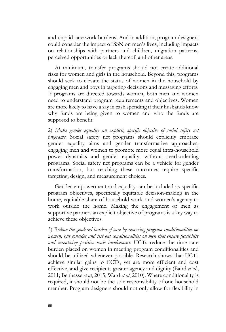and unpaid care work burdens. And in addition, program designers could consider the impact of SSN on men's lives, including impacts on relationships with partners and children, migration patterns, perceived opportunities or lack thereof, and other areas.

At minimum, transfer programs should not create additional risks for women and girls in the household. Beyond this, programs should seek to elevate the status of women in the household by engaging men and boys in targeting decisions and messaging efforts. If programs are directed towards women, both men and women need to understand program requirements and objectives. Women are more likely to have a say in cash spending if their husbands know why funds are being given to women and who the funds are supposed to benefit.

2) *Make gender equality an explicit, specific objective of social safety net programs*: Social safety net programs should explicitly embrace gender equality aims and gender transformative approaches, engaging men and women to promote more equal intra-household power dynamics and gender equality, without overburdening programs. Social safety net programs can be a vehicle for gender transformation, but reaching these outcomes require specific targeting, design, and measurement choices.

Gender empowerment and equality can be included as specific program objectives, specifically equitable decision-making in the home, equitable share of household work, and women's agency to work outside the home. Making the engagement of men as supportive partners an explicit objective of programs is a key way to achieve these objectives.

3) *Reduce the gendered burden of care by removing program conditionalities on women, but consider and test out conditionalities on men that ensure flexibility and incentivize positive male involvement:* UCTs reduce the time care burden placed on women in meeting program conditionalities and should be utilized whenever possible. Research shows that UCTs achieve similar gains to CCTs, yet are more efficient and cost effective, and give recipients greater agency and dignity (Baird *et al.*, 2011; Benhasse *et al*, 2015; Ward *et al*, 2010). Where conditionality is required, it should not be the sole responsibility of one household member. Program designers should not only allow for flexibility in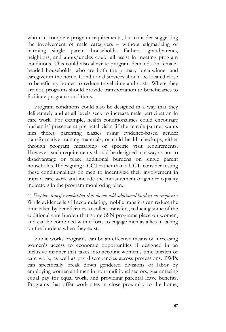who can complete program requirements, but consider suggesting the involvement of male caregivers – without stigmatizing or harming single parent households. Fathers, grandparents, neighbors, and aunts/uncles could all assist in meeting program conditions. This could also alleviate program demands on femaleheaded households, who are both the primary breadwinner and caregiver in the home. Conditional services should be located close to beneficiary homes to reduce travel time and costs. Where they are not, programs should provide transportation to beneficiaries to facilitate program conditions.

Program conditions could also be designed in a way that they deliberately and at all levels seek to increase male participation in care work. For example, health conditionalities could encourage husbands' presence at pre-natal visits (if the female partner wants him there); parenting classes using evidence-based gender transformative training materials; or child health checkups, either through program messaging or specific visit requirements. However, such requirements should be designed in a way as not to disadvantage or place additional burdens on single parent households. If designing a CCT rather than a UCT, consider testing these conditionalities on men to incentivize their involvement in unpaid care work and include the measurement of gender equality indicators in the program monitoring plan.

4) *Explore transfer modalities that do not add additional burdens on recipients:* While evidence is still accumulating, mobile transfers can reduce the time taken by beneficiaries to collect transfers, reducing some of the additional care burden that some SSN programs place on women, and can be combined with efforts to engage men as allies in taking on the burdens when they exist.

Public works programs can be an effective means of increasing women's access to economic opportunities if designed in an inclusive manner that takes into account women's time burden of care work, as well as pay discrepancies across professions. PWPs can specifically break down gendered divisions of labor by employing women and men in non-traditional sectors, guaranteeing equal pay for equal work, and providing parental leave benefits. Programs that offer work sites in close proximity to the home,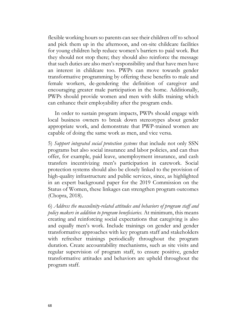flexible working hours so parents can see their children off to school and pick them up in the afternoon, and on-site childcare facilities for young children help reduce women's barriers to paid work. But they should not stop there; they should also reinforce the message that such duties are also men's responsibility and that have men have an interest in childcare too. PWPs can move towards gender transformative programming by offering these benefits to male and female workers, de-gendering the definition of caregiver and encouraging greater male participation in the home. Additionally, PWPs should provide women and men with skills training which can enhance their employability after the program ends.

In order to sustain program impacts, PWPs should engage with local business owners to break down stereotypes about gender appropriate work, and demonstrate that PWP-trained women are capable of doing the same work as men, and vice versa.

5) *Support integrated social protection systems* that include not only SSN programs but also social insurance and labor policies, and can thus offer, for example, paid leave, unemployment insurance, and cash transfers incentivizing men's participation in carework. Social protection systems should also be closely linked to the provision of high-quality infrastructure and public services, since, as highlighted in an expert background paper for the 2019 Commission on the Status of Women, these linkages can strengthen program outcomes (Chopra, 2018).

6) *Address the masculinity-related attitudes and behaviors of program staff and policy makers in addition to program beneficiaries.* At minimum, this means creating and reinforcing social expectations that caregiving is also and equally men's work. Include trainings on gender and gender transformative approaches with key program staff and stakeholders with refresher trainings periodically throughout the program duration. Create accountability mechanisms, such as site visits and regular supervision of program staff, to ensure positive, gender transformative attitudes and behaviors are upheld throughout the program staff.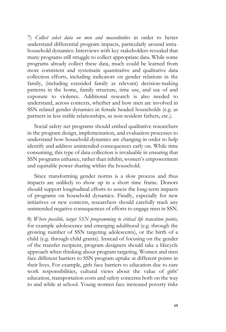7) *Collect select data on men and masculinities* in order to better understand differential program impacts, particularly around intrahousehold dynamics: Interviews with key stakeholders revealed that many programs still struggle to collect appropriate data. While some programs already collect these data, much could be learned from more consistent and systematic quantitative and qualitative data collection efforts, including indicators on gender relations in the family, (including extended family as relevant) decision-making patterns in the home, family structure, time use, and use of and exposure to violence. Additional research is also needed to understand, across contexts, whether and how men are involved in SSN related gender dynamics in female headed households (e.g. as partners in less stable relationships, as non-resident fathers, etc.).

Social safety net programs should embed qualitative researchers in the program design, implementation, and evaluation processes to understand how household dynamics are changing in order to help identify and address unintended consequences early on. While time consuming, this type of data collection is invaluable in ensuring that SSN programs enhance, rather than inhibit, women's empowerment and equitable power sharing within the household.

Since transforming gender norms is a slow process and thus impacts are unlikely to show up in a short time frame. Donors should support longitudinal efforts to assess the long-term impacts of programs on household dynamics. Finally, especially for new initiatives or new contexts, researchers should carefully track any unintended negative consequences of efforts to engage men in SSN.

8) *Where possible, target SSN programming to critical life transition points,* for example adolescence and emerging adulthood (e.g. through the growing number of SSN targeting adolescents), or the birth of a child (e.g. through child grants). Instead of focusing on the gender of the transfer recipient, program designers should take a lifecycle approach when thinking about program targeting. Women and men face different barriers to SSN program uptake at different points in their lives. For example, girls face barriers to education due to care work responsibilities, cultural views about the value of girls' education, transportation costs and safety concerns both on the way to and while at school. Young women face increased poverty risks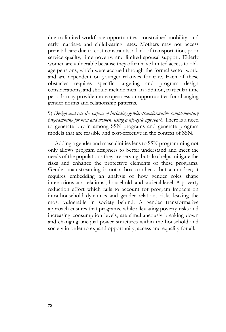due to limited workforce opportunities, constrained mobility, and early marriage and childbearing rates. Mothers may not access prenatal care due to cost constraints, a lack of transportation, poor service quality, time poverty, and limited spousal support. Elderly women are vulnerable because they often have limited access to oldage pensions, which were accrued through the formal sector work, and are dependent on younger relatives for care. Each of these obstacles requires specific targeting and program design considerations, and should include men. In addition, particular time periods may provide more openness or opportunities for changing gender norms and relationship patterns.

9) *Design and test the impact of including gender-transformative complementary programming for men and women, using a life-cycle approach.* There is a need to generate buy-in among SSN programs and generate program models that are feasible and cost-effective in the context of SSN.

Adding a gender and masculinities lens to SSN programming not only allows program designers to better understand and meet the needs of the populations they are serving, but also helps mitigate the risks and enhance the protective elements of these programs. Gender mainstreaming is not a box to check, but a mindset; it requires embedding an analysis of how gender roles shape interactions at a relational, household, and societal level. A poverty reduction effort which fails to account for program impacts on intra-household dynamics and gender relations risks leaving the most vulnerable in society behind. A gender transformative approach ensures that programs, while alleviating poverty risks and increasing consumption levels, are simultaneously breaking down and changing unequal power structures within the household and society in order to expand opportunity, access and equality for all.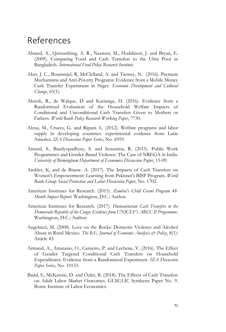## References

- Ahmed, A., Quisumbing, A. R., Nasreen, M., Hoddinott, J. and Bryan, E. (2009). Comparing Food and Cash Transfers to the Ultra Poor in Bangladesh. *International Food Policy Research Institute*.
- Aker, J. C., Boumnijel, R, McClelland, A. and Tierney, N. (2016). Payment Mechanisms and Anti-Poverty Programs: Evidence from a Mobile Money Cash Transfer Experiment in Niger. *Economic Development and Cultural Change*, 65(1).
- Akresh, R., de Walque, D and Kazianga, H. (2016). Evidence from a Randomized Evaluation of the Household Welfare Impacts of Conditional and Unconditional Cash Transfers Given to Mothers or Fathers. *World Bank Policy Research Working Paper*, 7730.
- Alzua, M., Cruces, G. and Ripani. L. (2012). Welfare programs and labor supply in developing countries: experimental evidence from Latin America. *IZA Discussion Paper Series*, No. 6959.
- Amaral, S., Bandyopadhyay, S. and Sensarma, R. (2015). Public Work Programmes and Gender-Based Violence: The Case of NREGA in India. *University of Birmingham Department of Economics Discussion Paper*, 15-09.
- Ambler, K, and de Brauw. A. (2017). The Impacts of Cash Transfers on Women's Empowerment: Learning from Pakistan's BISP Program. *World Bank Group Social Protection and Labor Discussion Paper*, No. 1702.
- American Institutes for Research. (2015). *Zambia's Child Grant Program 48- Month Impact Report.* Washington, D.C.: Author.
- American Institutes for Research. (2017). *Humanitarian Cash Transfers in the Democratic Republic of the Congo: Evidence from UNICEF's ARCC II Programme.*  Washington, D.C.: Author.
- Angelucci, M. (2008). Love on the Rocks: Domestic Violence and Alcohol Abuse in Rural Mexico. *The B.E. Journal of Economic Analysis & Policy*, 8(1): Article 43.
- Armand, A., Attanasio, O., Carneiro, P. and Lechene, V. (2016). The Effect of Gender Targeted Conditional Cash Transfers on Household Expenditures: Evidence from a Randomized Experiment. *IZA Discussion Paper Series*, No. 10133.
- Baird, S., McKenzie, D. and Özler, B. (2018). The Effects of Cash Transfers on Adult Labor Market Outcomes. GLM|LIC Synthesis Paper No. 9. Bonn: Institute of Labor Economics.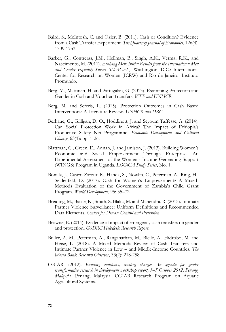- Baird, S., McIntosh, C. and Özler, B. (2011). Cash or Condition? Evidence from a Cash Transfer Experiment. *The Quarterly Journal of Economics*, 126(4): 1709-1753.
- Barker, G., Contreras, J.M., Heilman, B., Singh, A.K., Verma, R.K., and Nascimento, M. (2011). *Evolving Men: Initial Results from the International Men and Gender Equality Survey (IMAGES).* Washington, D.C.: International Center for Research on Women (ICRW) and Rio de Janeiro: Instituto Promundo.
- Berg, M., Mattinen, H. and Pattugalan, G. (2013). Examining Protection and Gender in Cash and Voucher Transfers. *WFP and UNHCR.*
- Berg, M. and Seferis, L. (2015). Protection Outcomes in Cash Based Interventions: A Literature Review. *UNHCR and DRC*.
- Berhane, G., Gilligan, D. O., Hoddinott, J. and Seyoum Taffesse, A. (2014). Can Social Protection Work in Africa? The Impact of Ethiopia's Productive Safety Net Programme. *Economic Development and Cultural Change*, 63(1): pp. 1-26.
- Blattman, C., Green, E., Annan, J. and Jamison, J. (2013). Building Women's Economic and Social Empowerment Through Enterprise: An Experimental Assessment of the Women's Income Generating Support (WINGS) Program in Uganda. *LOGiCA Study Series*, No. 1.
- Bonilla, J., Castro Zarzur, R., Handa, S., Nowlin, C., Peterman, A., Ring, H., Seidenfeld, D. (2017). Cash for Women's Empowerment? A Mixed-Methods Evaluation of the Government of Zambia's Child Grant Program. *World Development*, 95: 55–72.
- Breiding, M., Basile, K., Smith, S. Blakc, M. and Mahendra, R. (2015). Intimate Partner Violence Surveillance: Uniform Definitions and Recommended Data Elements. *Centers for Disease Control and Prevention*.
- Browne, E. (2014). Evidence of impact of emergency cash transfers on gender and protection. *GSDRC Helpdesk Research Report*.
- Buller, A. M., Peterman, A., Ranganathan, M., Bleile, A., Hidrobo, M. and Heise, L. (2018). A Mixed Methods Review of Cash Transfers and Intimate Partner Violence in Low – and Middle-Income Countries. *The World Bank Research Observer*, 33(2): 218-258.
- CGIAR. (2012). *Building coalitions, creating change: An agenda for gender transformative research in development workshop report, 3–5 October 2012, Penang, Malaysia.* Penang, Malaysia: CGIAR Research Program on Aquatic Agricultural Systems.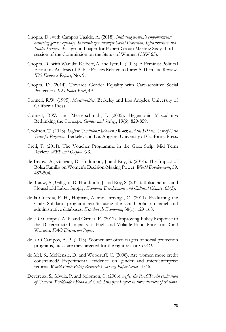- Chopra, D., with Campos Ugalde, A. (2018). *Initiating women's empowerment; achieving gender equality: Interlinkages amongst Social Protection, Infrastructure and Public Services.* Background paper for Expert Group Meeting Sixty-third session of the Commission on the Status of Women (CSW 63).
- Chopra, D., with Wanijku Kelbert, A. and Iyer, P. (2013). A Feminist Political Economy Analysis of Public Polices Related to Care: A Thematic Review. *IDS Evidence Report*, No. 9.
- Chopra, D. (2014). Towards Gender Equality with Care-sensitive Social Protection. *IDS Policy Brief*, 49.
- Connell, R.W. (1995). *Masculinities*. Berkeley and Los Angeles: University of California Press.
- Connell, R.W. and Messerschmidt, J. (2005). Hegemonic Masculinity: Rethinking the Concept. *Gender and Society*, 19(6): 829-859.
- Cookson, T. (2018). *Unjust Conditions: Women's Work and the Hidden Cost of Cash Transfer Programs.* Berkeley and Los Angeles: University of California Press.
- Creti, P. (2011). The Voucher Programme in the Gaza Strip: Mid Term Review. *WFP and Oxfam GB*.
- de Brauw, A., Gilligan, D. Hoddinott, J. and Roy, S. (2014). The Impact of Bolsa Familia on Women's Decision-Making Power. *World Development*, 59: 487-504.
- de Brauw, A., Gilligan, D. Hoddinott, J. and Roy, S. (2015). Bolsa Familia and Household Labor Supply. *Economic Development and Cultural Change*, 63(3).
- de la Guardia, F. H., Hojman, A. and Larranga, O. (2011). Evaluating the Chile Solidario program: results using the Child Solidario panel and administrative databases. *Estudios de Economia*, 38(1): 129-168.
- de la O Campos, A. P. and Garner, E. (2012). Improving Policy Response to the Differentiated Impacts of High and Volatile Food Prices on Rural Women. *FAO Discussion Paper*.
- de la O Campos, A. P. (2015). Women are often targets of social protection programs, but…are they targeted for the right reason? *FAO*.
- de Mel, S., McKenzie, D. and Woodruff, C. (2008). Are women more credit constrained? Experimental evidence on gender and microenterprise returns. *World Bank Policy Research Working Paper Series*, 4746.
- Devereux, S., Mvula, P. and Solomon, C. (2006). *After the FACT: An evaluation of Concern Worldwide's Food and Cash Transfers Project in three districts of Malawi.*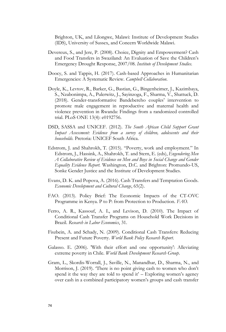Brighton, UK, and Lilongwe, Malawi: Institute of Development Studies (IDS), University of Sussex, and Concern Worldwide Malawi.

- Devereux, S., and Jere, P. (2008). Choice, Dignity and Empowerment? Cash and Food Transfers in Swaziland: An Evaluation of Save the Children's Emergency Drought Response, 2007/08. *Institute of Development Studies.*
- Doocy, S. and Tappis, H. (2017). Cash-based Approaches in Humanitarian Emergencies: A Systematic Review. *Campbell Collaboration*.
- Doyle, K., Levtov, R., Barker, G., Bastian, G., Bingenheimer, J., Kazimbaya, S., Nzabonimpa, A., Pulerwitz, J., Sayinzoga, F., Sharma, V., Shattuck, D. (2018). Gender-transformative Bandebereho couples' intervention to promote male engagement in reproductive and maternal health and violence prevention in Rwanda: Findings from a randomized controlled trial. PLoS ONE 13(4): e0192756.
- DSD, SASSA and UNICEF. (2012). *The South African Child Support Grant Impact Assessment: Evidence from a survey of children, adolescents and their households.* Pretoria: UNICEF South Africa.
- Edstrom, J. and Shahrokh, T. (2015). "Poverty, work and employment." In Edstrom, J., Hassink, A., Shahrokh, T. and Stern, E. (eds), *Engendering Men A Collaborative Review of Evidence on Men and Boys in Social Change and Gender Equality Evidence Report.* Washington, D.C. and Brighton: Promundo-US, Sonke Gender Justice and the Institute of Development Studies.
- Evans, D. K. and Popova, A. (2016). Cash Transfers and Temptation Goods. *Economic Development and Cultural Change*, 65(2).
- FAO. (2013). Policy Brief: The Economic Impacts of the CT-OVC Programme in Kenya. P to P: from Protection to Production. *FAO*.
- Ferro, A. R., Kassouf, A. L, and Levison, D. (2010). The Impact of Conditional Cash Transfer Programs on Household Work Decisions in Brazil. *Research in Labor Economics*, 31.
- Fiszbein, A. and Schady, N. (2009). Conditional Cash Transfers: Reducing Present and Future Poverty. *World Bank Policy Research Report*.
- Galasso. E. (2006). 'With their effort and one opportunity': Alleviating extreme poverty in Chile. *World Bank Development Research Group*.
- Gram, L., Skordis-Worrall, J., Saville, N., Manandhar, D., Sharma, N., and Morrison, J. (2019). 'There is no point giving cash to women who don't spend it the way they are told to spend it' – Exploring women's agency over cash in a combined participatory women's groups and cash transfer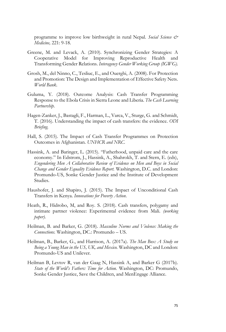programme to improve low birthweight in rural Nepal. *Social Science & Medicine,* 221: 9-18.

- Greene, M. and Levack, A. (2010). Synchronizing Gender Strategies: A Cooperative Model for Improving Reproductive Health and Transforming Gender Relations. *Interagency Gender Working Group (IGWG).*
- Grosh, M., del Ninno, C., Tesliuc, E., and Ouerghi, A. (2008). For Protection and Promotion: The Design and Implementation of Effective Safety Nets. *World Bank*.
- Guluma, Y. (2018). Outcome Analysis: Cash Transfer Programming Response to the Ebola Crisis in Sierra Leone and Liberia. *The Cash Learning Partnership.*
- Hagen-Zanker, J., Bastagli, F., Harman, L., Varca, V., Sturge, G. and Schmidt, T. (2016). Understanding the impact of cash transfers: the evidence. *ODI Briefing.*
- Hall, S. (2015). The Impact of Cash Transfer Programmes on Protection Outcomes in Afghanistan. *UNHCR and NRC.*
- Hassink, A. and Baringer, L. (2015). "Fatherhood, unpaid care and the care economy." In Edstrom, J., Hassink, A., Shahrokh, T. and Stern, E. (eds), *Engendering Men A Collaborative Review of Evidence on Men and Boys in Social Change and Gender Equality Evidence Report.* Washington, D.C. and London: Promundo-US, Sonke Gender Justice and the Institute of Development Studies.
- Haushofer, J. and Shapiro, J. (2015). The Impact of Unconditional Cash Transfers in Kenya. *Innovations for Poverty Action*.
- Heath, R., Hidrobo, M, and Roy. S. (2018). Cash transfers, polygamy and intimate partner violence: Experimental evidence from Mali. *(working paper).*
- Heilman, B. and Barker, G. (2018). *Masculine Norms and Violence: Making the Connections.* Washington, DC.: Promundo – US.
- Heilman, B., Barker, G., and Harrison, A. (2017a). *The Man Box: A Study on Being a Young Man in the US, UK, and Mexico.* Washington, DC and London: Promundo-US and Unilever.
- Heilman B, Levtov R, van der Gaag N, Hassink A, and Barker G (2017b). *State of the World's Fathers: Time for Action.* Washington, DC: Promundo, Sonke Gender Justice, Save the Children, and MenEngage Alliance.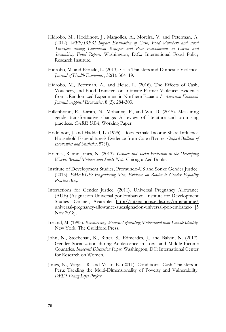- Hidrobo, M., Hoddinott, J., Margolies, A., Moreira, V. and Peterman, A. (2012). *WFP/IRPRI Impact Evaluation of Cash, Food Vouchers and Food Transfers among Colombian Refugees and Poor Ecuadorians in Carchi and Sucumbios, Final Report.* Washington, D.C.: International Food Policy Research Institute.
- Hidrobo, M. and Fernald, L. (2013). Cash Transfers and Domestic Violence. *Journal of Health Economics*, 32(1): 304–19.
- Hidrobo, M., Peterman, A., and Heise, L. (2016). The Effects of Cash, Vouchers, and Food Transfers on Intimate Partner Violence: Evidence from a Randomized Experiment in Northern Ecuador." *American Economic Journal: Applied Economics*, 8 (3): 284-303.
- Hillenbrand, E., Karim, N., Mohanraj, P., and Wu, D. (2015). Measuring gender-transformative change: A review of literature and promising practices. *CARE USA*, Working Paper.
- Hoddinott, J. and Hadded, L. (1995). Does Female Income Share Influence Household Expenditures? Evidence from Cote d'Ivoire. *Oxford Bulletin of Economics and Statistics*, 57(1).
- Holmes, R. and Jones, N. (2013). *Gender and Social Protection in the Developing World: Beyond Mothers and Safety Nets.* Chicago: Zed Books.
- Institute of Development Studies, Promundo-US and Sonke Gender Justice. (2015). *EMERGE: Engendering Men, Evidence on Routes to Gender Equality Practice Brief.*
- Interactions for Gender Justice. (2011). Universal Pregnancy Allowance (AUE) (Asignacion Universal por Embarazo. Institute for Development Studies [Online], Available: [http://interactions.eldis.org/programme/](http://interactions.eldis.org/programme/universal-pregnancy-allowance-aueasignación-universal-por-embarazo) [universal-pregnancy-allowance-aueasignación-universal-por-embarazo](http://interactions.eldis.org/programme/universal-pregnancy-allowance-aueasignación-universal-por-embarazo) [5 Nov 2018].
- Ireland, M. (1993). *Reconceiving Women: Separating Motherhood from Female Identity.* New York: The Guildford Press.
- John, N., Stoebenau, K., Ritter, S., Edmeades, J., and Balvin, N. (2017). Gender Socialization during Adolescence in Low- and Middle-Income Countries. *Innocenti Discussion Paper.* Washington, DC: International Center for Research on Women.
- Jones, N., Vargas, R. and Villar, E. (2011). Conditional Cash Transfers in Peru: Tackling the Multi-Dimensionality of Poverty and Vulnerability. *DFID Young Lifes Project*.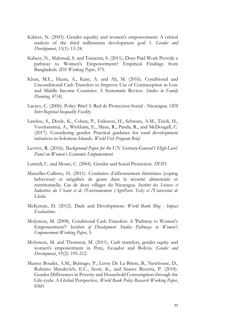- Kabeer, N. (2005). Gender equality and women's empowerment: A critical analysis of the third millennium development goal 1. *Gender and Development*, 13(1): 13-24.
- Kabeer, N., Mahmud, S. and Tasneem, S. (2011), Does Paid Work Provide a pathway to Women's Empowerment? Empirical Findings from Bangladesh. *IDS Working Paper*, 375.
- Khan, M.E., Hazra, A., Kant, A. and Ali, M. (2016). Conditional and Unconditional Cash Transfers to Improve Use of Contraception in Low and Middle Income Countries: A Systematic Review. *Studies in Family Planning*, 47(4).
- Lacayo, C. (2006). Policy Brief 3: Red de Proteccion Social Nicaragua. *ODI Inter-Regional Inequality Facility.*
- Lawless, S., Doyle, K., Cohen, P., Eriksson, H., Schwarz, A.M., Teioli, H., Vavekaramui, A., Wickham, E., Masu, R., Panda, R., and McDougall, C. (2017). Considering gender: Practical guidance for rural development initiatives in Solomon Islands. *World Fish Program Brief*.
- Levtov, R. (2016). *Background Paper for the UN Secretary-General's High-Level Panel on Women's Economic Empowerment.*
- Luttrell, C. and Moser, C. (2004). Gender and Social Protection. *DFID*.
- Marselles-Culleres, H. (2011). Conduites d'affrontement féminines (coping behaviour) et inégalités de genre dans la sécurité alimentaire et nutritionnelle. Cas de deux villages du Nicaragua. *Institut des Sciences et Industries du Vivant et de l'Environnement (AgroParis Tech) et l'Universitat de Lleida.*
- McKenzie, D. (2012). Dads and Development. *World Bank Blog - Impact Evaluations.*
- Molyneux, M. (2008). Conditional Cash Transfers: A 'Pathway to Women's Empowerment'? *Institute of Development Studies Pathways to Women's Empowerment Working Paper*, 5.
- Molyneux, M. and Thomson, M. (2011). Cash transfers, gender equity and women's empowerment in Peru, Ecuador and Bolivia. *Gender and Development*, 19(2): 195-212.
- Munoz Boudet, A.M., Buitrago, P., Leroy De La Briere, B., Newhouse, D., Rubiano Matulevich, E.C., Scott, K., and Suarex Becerra, P. (2018). Gender Differences in Poverty and Household Consumption through the Life-cycle: A Global Perspective. *World Bank Policy Research Working Paper*, 8360.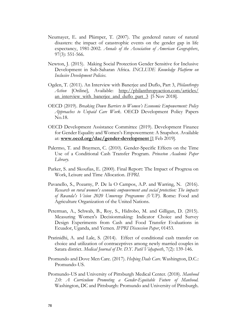- Neumayer, E. and Plümper, T. (2007). The gendered nature of natural disasters: the impact of catastrophic events on the gender gap in life expectancy, 1981-2002. *Annals of the Association of American Geographers*, 97(3): 551-566.
- Newton, J. (2015). Making Social Protection Gender Sensitive for Inclusive Development in Sub-Saharan Africa. *INCLUDE Knowledge Platform on Inclusive Development Policies.*
- Ogden, T. (2011). An Interview with Banerjee and Duflo, Part 3, *Philanthropy*  Action [Online], Available: [http://philanthropyaction.com/articles/](http://philanthropyaction.com/articles/an_interview_with_banerjee_and_duflo_part_3) an interview with banerjee and duflo part 3 [5 Nov 2018].
- OECD (2019). *Breaking Down Barriers to Women's Economic Empowerment: Policy Approaches to Unpaid Care Work*. OECD Development Policy Papers No.18.
- OECD Development Assistance Committee (2019). Development Finance for Gender Equality and Women's Empowerment: A Snapshot. Available at: **[www.oecd.org/dac/gender-development](http://www.oecd.org/dac/gender-development%20%5b1)** [1 Feb 2019].
- Palermo, T. and Braymen, C. (2010). Gender-Specific Effects on the Time Use of a Conditional Cash Transfer Program. *Princeton Academic Paper Library.*
- Parker, S. and Skoufias, E. (2000). Final Report: The Impact of Progresa on Work, Leisure and Time Allocation. *IFPRI*.
- Pavanello, S., Pozarny, P. De la O Campos, A.P. and Warring, N. (2016). *Research on rural women's economic empowerment and social protection: The impacts of Rwanda's Vision 2020 Umurenge Programme (VUP).* Rome: Food and Agriculture Organization of the United Nations.
- Peterman, A., Schwab, B., Roy, S., Hidrobo, M. and Gilligan, D. (2015). Measuring Women's Decisionmaking: Indicator Choice and Survey Design Experiments from Cash and Food Transfer Evaluations in Ecuador, Uganda, and Yemen. *IFPRI Discussion Paper*, 01453.
- Pratinidhi, A. and Lale, S. (2014). Effect of conditional cash transfer on choice and utilization of contraceptives among newly married couples in Satara district. *Medical Journal of Dr. D.Y. Patil Vidyapeeth*, 7(2): 139-146.
- Promundo and Dove Men Care. (2017). *Helping Dads Care*. Washington, D.C.: Promundo-US.
- Promundo-US and University of Pittsburgh Medical Center. (2018). *Manhood 2.0: A Curriculum Promoting a Gender-Equitable Future of Manhood.*  Washington, DC and Pittsburgh: Promundo and University of Pittsburgh.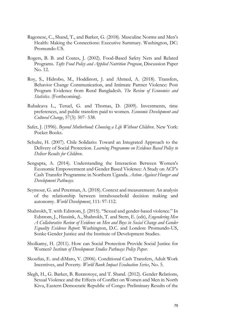- Ragonese, C., Shand, T., and Barker, G. (2018). Masculine Norms and Men's Health: Making the Connections: Executive Summary. Washington, DC: Promundo-US.
- Rogers, B. B. and Coates, J. (2002). Food-Based Safety Nets and Related Programs. *Tufts Food Policy and Applied Nutrition Program*, Discussion Paper No. 12.
- Roy, S., Hidrobo, M., Hoddinott, J. and Ahmed, A. (2018). Transfers, Behavior Change Communication, and Intimate Partner Violence: Post Program Evidence from Rural Bangladesh. *The Review of Economics and Statistics*. (Forthcoming).
- Rubalcava L., Teruel, G. and Thomas, D. (2009). Investments, time preferences, and public transfers paid to women. *Economic Development and Cultural Change*, 57(3): 507- 538.
- Safer, J. (1996). *Beyond Motherhood: Choosing a Life Without Children*. New York: Pocket Books.
- Schulte, H. (2007). Chile Solidario: Toward an Integrated Approach to the Delivery of Social Protection. *Learning Programme on Evidence Based Policy to Deliver Results for Children*.
- Sengupta, A. (2014). Understanding the Interaction Between Women's Economic Empowerment and Gender Based Violence: A Study on ACF's Cash Transfer Programme in Northern Uganda. *Action Against Hunger and Development Pathways.*
- Seymour, G. and Peterman, A. (2018). Context and measurement: An analysis of the relationship between intrahousehold decision making and autonomy. *World Development*, 111: 97-112.
- Shahrokh, T. with Edstrom, J. (2015). "Sexual and gender-based violence." In Edstrom, J., Hassink, A., Shahrokh, T. and Stern, E. (eds), *Engendering Men A Collaborative Review of Evidence on Men and Boys in Social Change and Gender Equality Evidence Report.* Washington, D.C. and London: Promundo-US, Sonke Gender Justice and the Institute of Development Studies.
- Sholkamy, H. (2011). How can Social Protection Provide Social Justice for Women? *Institute of Development Studies Pathways Policy Paper*.
- Skoufias, E. and diMaro, V. (2006). Conditional Cash Transfers, Adult Work Incentives, and Poverty. *World Bank Impact Evaluation Series*, No. 5.
- Slegh, H., G. Barker, B. Ruratotoye, and T. Shand. (2012). Gender Relations, Sexual Violence and the Effects of Conflict on Women and Men in North Kivu, Eastern Democratic Republic of Congo: Preliminary Results of the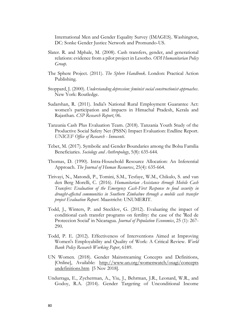International Men and Gender Equality Survey (IMAGES). Washington, DC: Sonke Gender Justice Network and Promundo-US.

- Slater. R. and Mphale, M. (2008). Cash transfers, gender, and generational relations: evidence from a pilot project in Lesotho. *ODI Humanitarian Policy Group.*
- The Sphere Project. (2011). *The Sphere Handbook*. London: Practical Action Publishing.
- Stoppard, J. (2000). *Understanding depression: feminist social constructionist approaches*. New York: Routledge.
- Sudarshan, R. (2011). India's National Rural Employment Guarantee Act: women's participation and impacts in Himachal Pradesh, Kerala and Rajasthan. *CSP Research Report*, 06.
- Tanzania Cash Plus Evaluation Team. (2018). Tanzania Youth Study of the Productive Social Safety Net (PSSN) Impact Evaluation: Endline Report. *UNICEF Office of Research - Innocenti.*
- Tebet, M. (2017). Symbolic and Gender Boundaries among the Bolsa Familia Beneficiaries. *Sociology and Anthropology*, 5(8): 635-644.
- Thomas, D. (1990). Intra-Household Resource Allocation: An Inferential Approach. *The Journal of Human Resources*, 25(4): 635-664.
- Tirivayi, N., Matondi, P., Tomini, S.M., Tesfaye, W.M., Chikulo, S. and van den Berg Morelli, C. (2016). *Humanitarian Assistance through Mobile Cash Transfers: Evaluation of the Emergency Cash-First Response to food security in drought-affected communities in Southern Zimbabwe through a mobile cash transfer project Evaluation Report*. Maastricht: UNUMERIT.
- Todd, J., Winters, P. and Stecklov, G. (2012). Evaluating the impact of conditional cash transfer programs on fertility: the case of the 'Red de Proteccion Social' in Nicaragua. *Journal of Population Economics*, 25 (1): 267- 290.
- Todd, P. E. (2012). Effectiveness of Interventions Aimed at Improving Women's Employability and Quality of Work: A Critical Review. *World Bank Policy Research Working Paper*, 6189.
- UN Women. (2018). Gender Mainstreaming Concepts and Definitions, [Online], Available: [http://www.un.org/womenwatch/osagi/concepts](http://www.un.org/womenwatch/osagi/conceptsandefinitions.htm) [andefinitions.htm](http://www.un.org/womenwatch/osagi/conceptsandefinitions.htm) [5 Nov 2018].
- Undurraga, E., Zycherman, A., Yiu, J., Behrman, J.R., Leonard, W.R., and Godoy, R.A. (2014). Gender Targeting of Unconditional Income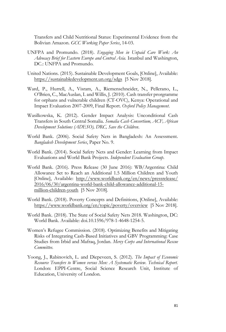Transfers and Child Nutritional Status: Experimental Evidence from the Bolivian Amazon. *GCC Working Paper Series*, 14-03.

- UNFPA and Promundo. (2018). *Engaging Men in Unpaid Care Work: An Advocacy Brief for Eastern Europe and Central Asia.* Istanbul and Washington, DC.: UNFPA and Promundo.
- United Nations. (2015). Sustainable Development Goals, [Online], Available: <https://sustainabledevelopment.un.org/sdgs> [5 Nov 2018].
- Ward, P., Hurrell, A., Visram, A., Riemenschneider, N., Pellerano, L., O'Brien, C., MacAuslan, I. and Willis, J. (2010). Cash transfer prorgramme for orphans and vulnerable children (CT-OVC), Kenya: Operational and Impact Evaluation 2007-2009, Final Report. *Oxford Policy Management*.
- Wasilkowska, K. (2012). Gender Impact Analysis: Unconditional Cash Transfers in South Central Somalia. *Somalia Cash Consortium, ACF, African Development Solutions (ADESO), DRC, Save the Children*.
- World Bank. (2006). Social Safety Nets in Bangladesh: An Assessment. *Bangladesh Development Series*, Paper No. 9.
- World Bank. (2014). Social Safety Nets and Gender: Learning from Impact Evaluations and World Bank Projects. *Independent Evaluation Group*.
- World Bank. (2016). Press Release (30 June 2016): WB/Argentina: Child Allowance Set to Reach an Additional 1.5 Million Children and Youth [Online], Available: [http://www.worldbank.org/en/news/pressrelease/](http://www.worldbank.org/en/news/pressrelease/2016/06/30/argentina-world-bank-child-allowance-additional-15-million-children-youth) [2016/06/30/argentina-world-bank-child-allowance-additional-15](http://www.worldbank.org/en/news/pressrelease/2016/06/30/argentina-world-bank-child-allowance-additional-15-million-children-youth) [million-children-youth](http://www.worldbank.org/en/news/pressrelease/2016/06/30/argentina-world-bank-child-allowance-additional-15-million-children-youth) [5 Nov 2018].
- World Bank. (2018). Poverty Concepts and Definitions, [Online], Available: <https://www.worldbank.org/en/topic/poverty/overview> [5 Nov 2018].
- World Bank. (2018). The State of Social Safety Nets 2018. Washington, DC: World Bank. Available: doi.10.1596/978-1-4648-1254-5.
- Women's Refugee Commission. (2018). Optimizing Benefits and Mitigating Risks of Integrating Cash-Based Initiatives and GBV Programming: Case Studies from Irbid and Mafraq, Jordan. *Mercy Corps and International Rescue Committee.*
- Yoong, J., Rabinovich, L. and Diepeveen, S. (2012). *The Impact of Economic Resource Transfers to Women versus Men: A Systematic Review. Technical Report.* London: EPPI-Centre, Social Science Research Unit, Institute of Education, University of London.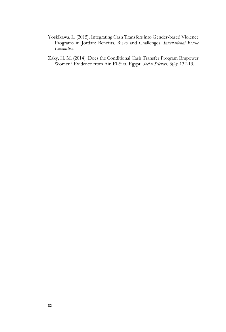- Yoskikawa, L. (2015). Integrating Cash Transfers into Gender-based Violence Programs in Jordan: Benefits, Risks and Challenges. *International Rescue Committee.*
- Zaky, H. M. (2014). Does the Conditional Cash Transfer Program Empower Women? Evidence from Ain El-Sira, Egypt. *Social Sciences*, 3(4): 132-13.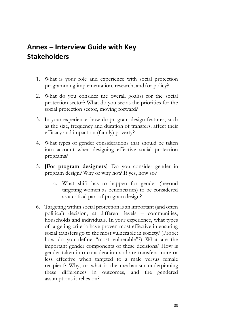## **Annex – Interview Guide with Key Stakeholders**

- 1. What is your role and experience with social protection programming implementation, research, and/or policy?
- 2. What do you consider the overall goal(s) for the social protection sector? What do you see as the priorities for the social protection sector, moving forward?
- 3. In your experience, how do program design features, such as the size, frequency and duration of transfers, affect their efficacy and impact on (family) poverty?
- 4. What types of gender considerations that should be taken into account when designing effective social protection programs?
- 5. **[For program designers]** Do you consider gender in program design? Why or why not? If yes, how so?
	- a. What shift has to happen for gender (beyond targeting women as beneficiaries) to be considered as a critical part of program design?
- 6. Targeting within social protection is an important (and often political) decision, at different levels – communities, households and individuals. In your experience, what types of targeting criteria have proven most effective in ensuring social transfers go to the most vulnerable in society? (Probe: how do you define "most vulnerable"?) What are the important gender components of these decisions? How is gender taken into consideration and are transfers more or less effective when targeted to a male versus female recipient? Why, or what is the mechanism underpinning these differences in outcomes, and the gendered assumptions it relies on?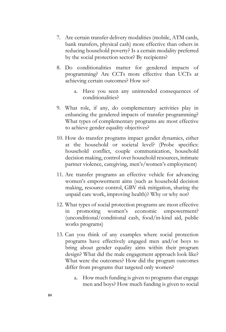- 7. Are certain transfer delivery modalities (mobile, ATM cards, bank transfers, physical cash) more effective than others in reducing household poverty? Is a certain modality preferred by the social protection sector? By recipients?
- 8. Do conditionalities matter for gendered impacts of programming? Are CCTs more effective than UCTs at achieving certain outcomes? How so?
	- a. Have you seen any unintended consequences of conditionalities?
- 9. What role, if any, do complementary activities play in enhancing the gendered impacts of transfer programming? What types of complementary programs are most effective to achieve gender equality objectives?
- 10. How do transfer programs impact gender dynamics, either at the household or societal level? (Probe specifics: household conflict, couple communication, household decision making, control over household resources, intimate partner violence, caregiving, men's/women's employment)
- 11. Are transfer programs an effective vehicle for advancing women's empowerment aims (such as household decision making, resource control, GBV risk mitigation, sharing the unpaid care work, improving health)? Why or why not?
- 12. What types of social protection programs are most effective promoting women's economic empowerment? (unconditional/conditional cash, food/in-kind aid, public works programs)
- 13. Can you think of any examples where social protection programs have effectively engaged men and/or boys to bring about gender equality aims within their program design? What did the male engagement approach look like? What were the outcomes? How did the program outcomes differ from programs that targeted only women?
	- a. How much funding is given to programs that engage men and boys? How much funding is given to social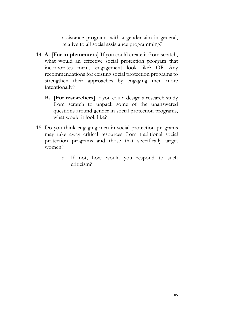assistance programs with a gender aim in general, relative to all social assistance programming?

- 14. **A. [For implementers]** If you could create it from scratch, what would an effective social protection program that incorporates men's engagement look like? OR Any recommendations for existing social protection programs to strengthen their approaches by engaging men more intentionally?
	- **B. [For researchers]** If you could design a research study from scratch to unpack some of the unanswered questions around gender in social protection programs, what would it look like?
- 15. Do you think engaging men in social protection programs may take away critical resources from traditional social protection programs and those that specifically target women?
	- a. If not, how would you respond to such criticism?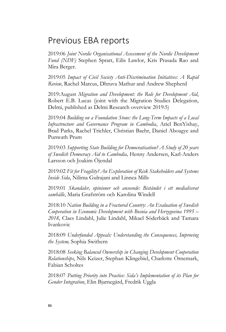## Previous EBA reports

2019:06 *Joint Nordic Organisational Assessment of the Nordic Development Fund (NDF)* Stephen Spratt, Eilis Lawlor, Kris Prasada Rao and Mira Berger.

2019:05 *Impact of Civil Society Anti-Discrimination Initiatives: A Rapid Review*, Rachel Marcus, Dhruva Mathur and Andrew Shepherd

2019:August *Migration and Development: the Role for Development Aid*, Robert E.B. Lucas (joint with the Migration Studies Delegation, Delmi, published as Delmi Research overview 2019:5)

2019:04 *Building on a Foundation Stone: the Long-Term Impacts of a Local Infrastructure and Governance Program in Cambodia*, Ariel BenYishay, Brad Parks, Rachel Trichler, Christian Baehr, Daniel Aboagye and Punwath Prum

2019:03 *Supporting State Building for Democratisation? A Study of 20 years of Swedish Democracy Aid to Cambodia,* Henny Andersen, Karl-Anders Larsson och Joakim Öjendal

2019:02 *Fit for Fragility? An Exploration of Risk Stakeholders and Systems Inside Sida*, Nilima Gulrajani and Linnea Mills

2019:01 *Skandaler, opinioner och anseende: Biståndet i ett medialiserat samhälle*, Maria Grafström och Karolina Windell

2018:10 *Nation Building in a Fractured Country: An Evaluation of Swedish Cooperation in Economic Development with Bosnia and Herzegovina 1995 – 2018*, Claes Lindahl, Julie Lindahl, Mikael Söderbäck and Tamara Ivankovic

2018:09 *Underfunded Appeals: Understanding the Consequences, Improving the System,* Sophia Swithern

2018:08 *Seeking Balanced Ownership in Changing Development Cooperation Relationships*, Nils Keizer, Stephan Klingebiel, Charlotte Örnemark, Fabian Scholtes

2018:07 *Putting Priority into Practice: Sida's Implementation of its Plan for Gender Integration*, Elin Bjarnegård, Fredrik Uggla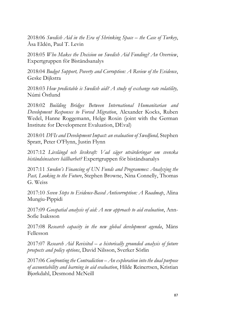2018:06 *Swedish Aid in the Era of Shrinking Space – the Case of Turkey*, Åsa Eldén, Paul T. Levin

2018:05 *Who Makes the Decision on Swedish Aid Funding? An Overview*, Expertgruppen för Biståndsanalys

2018:04 *Budget Support, Poverty and Corruption: A Review of the Evidence*, Geske Dijkstra

2018:03 *How predictable is Swedish aid? A study of exchange rate volatility,*  Númi Östlund

2018:02 *Building Bridges Between International Humanitarian and Development Responses to Forced Migration*, Alexander Kocks, Ruben Wedel, Hanne Roggemann, Helge Roxin (joint with the German Institute for Development Evaluation, DEval)

2018:01 *DFIs and Development Impact: an evaluation of Swedfund,* Stephen Spratt, Peter O'Flynn, Justin Flynn

2017:12 *Livslängd och livskraft: Vad säger utvärderingar om svenska biståndsinsatsers hållbarhet?* Expertgruppen för biståndsanalys

2017:11 *Sweden's Financing of UN Funds and Programmes: Analyzing the Past, Looking to the Future*, Stephen Browne, Nina Connelly, Thomas G. Weiss

2017:10 *Seven Steps to Evidence-Based Anticorruption: A Roadmap*, Alina Mungiu-Pippidi

2017:09 *Geospatial analysis of aid: A new approach to aid evaluation*, Ann-Sofie Isaksson

2017:08 *Research capacity in the new global development agenda*, Måns Fellesson

2017:07 *Research Aid Revisited – a historically grounded analysis of future prospects and policy options*, David Nilsson, Sverker Sörlin

2017:06 *Confronting the Contradiction – An exploration into the dual purpose of accountability and learning in aid evaluation*, Hilde Reinertsen, Kristian Bjørkdahl, Desmond McNeill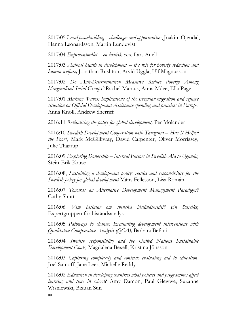2017:05 *Local peacebuilding – challenges and opportunities*, Joakim Öjendal, Hanna Leonardsson, Martin Lundqvist

2017:04 *Enprocentmålet – en kritisk essä*, Lars Anell

2017:03 *Animal health in development – it's role for poverty reduction and human welfare,* Jonathan Rushton, Arvid Uggla, Ulf Magnusson

2017:02 *Do Anti-Discrimination Measures Reduce Poverty Among Marginalised Social Groups?* Rachel Marcus, Anna Mdee, Ella Page

2017:01 *Making Waves: Implications of the irregular migration and refugee situation on Official Development Assistance spending and practices in Europe*, Anna Knoll, Andrew Sherriff

2016:11 *Revitalising the policy for global development,* Per Molander

2016:10 *Swedish Development Cooperation with Tanzania – Has It Helped the Poor?,* Mark McGillivray, David Carpenter, Oliver Morrissey, Julie Thaarup

2016:09 *Exploring Donorship – Internal Factors in Swedish Aid to Uganda,* Stein-Erik Kruse

2016:08, *Sustaining a development policy: results and responsibility for the Swedish policy for global development* Måns Fellesson, Lisa Román

2016:07 *Towards an Alternative Development Management Paradigm?* Cathy Shutt

2016:06 *Vem beslutar om svenska biståndsmedel? En översikt,*  Expertgruppen för biståndsanalys

2016:05 *Pathways to change: Evaluating development interventions with Qualitative Comparative Analysis (QCA),* Barbara Befani

2016:04 *Swedish responsibility and the United Nations Sustainable Development Goals,* Magdalena Bexell, Kristina Jönsson

2016:03 *Capturing complexity and context: evaluating aid to education,* Joel Samoff, Jane Leer, Michelle Reddy

2016:02 *Education in developing countries what policies and programmes affect learning and time in school?* Amy Damon, Paul Glewwe, Suzanne Wisniewski, Bixuan Sun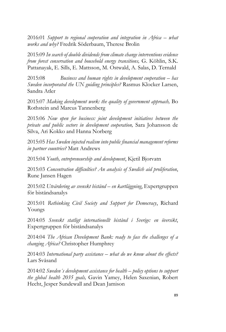2016:01 *Support to regional cooperation and integration in Africa – what works and why?* Fredrik Söderbaum, Therese Brolin

2015:09 *In search of double dividends from climate change interventions evidence from forest conservation and household energy transitions,* G. Köhlin, S.K. Pattanayak, E. Sills, E. Mattsson, M. Ostwald, A. Salas, D. Ternald

2015:08 *Business and human rights in development cooperation – has Sweden incorporated the UN guiding principles?* Rasmus Klocker Larsen, Sandra Atler

2015:07 *Making development work: the quality of government approach,* Bo Rothstein and Marcus Tannenberg

2015:06 *Now open for business: joint development initiatives between the private and public sectors in development cooperation,* Sara Johansson de Silva, Ari Kokko and Hanna Norberg

2015:05 *Has Sweden injected realism into public financial management reforms in partner countries?* Matt Andrews

2015:04 *Youth, entrepreneurship and development*, Kjetil Bjorvatn

2015:03 *Concentration difficulties? An analysis of Swedish aid proliferation*, Rune Jansen Hagen

2015:02 *Utvärdering av svenskt bistånd – en kartläggning*, Expertgruppen för biståndsanalys

2015:01 *Rethinking Civil Society and Support for Democracy*, Richard Youngs

2014:05 *Svenskt statligt internationellt bistånd i Sverige: en översikt*, Expertgruppen för biståndsanalys

2014:04 *The African Development Bank: ready to face the challenges of a changing Africa?* Christopher Humphrey

2014:03 *International party assistance – what do we know about the effects?* Lars Svåsand

2014:02 *Sweden´s development assistance for health – policy options to support the global health 2035 goals,* Gavin Yamey, Helen Saxenian, Robert Hecht, Jesper Sundewall and Dean Jamison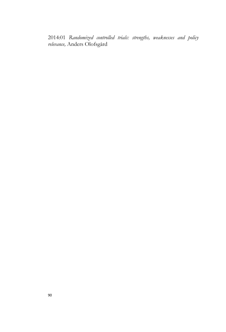2014:01 *Randomized controlled trials: strengths, weaknesses and policy relevance,* Anders Olofsgård